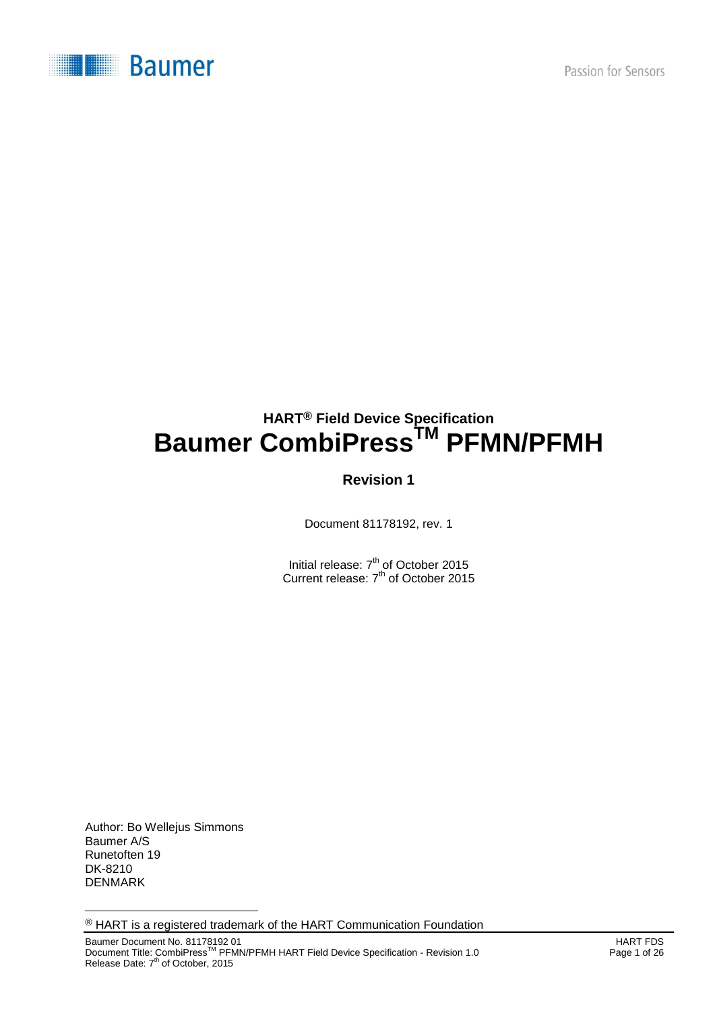

# **HART® Field Device Specification Baumer CombiPressTM PFMN/PFMH**

# **Revision 1**

Document 81178192, rev. 1

Initial release: 7<sup>th</sup> of October 2015 Current release: 7<sup>th</sup> of October 2015

Author: Bo Wellejus Simmons Baumer A/S Runetoften 19 DK-8210 DENMARK

l

® HART is a registered trademark of the HART Communication Foundation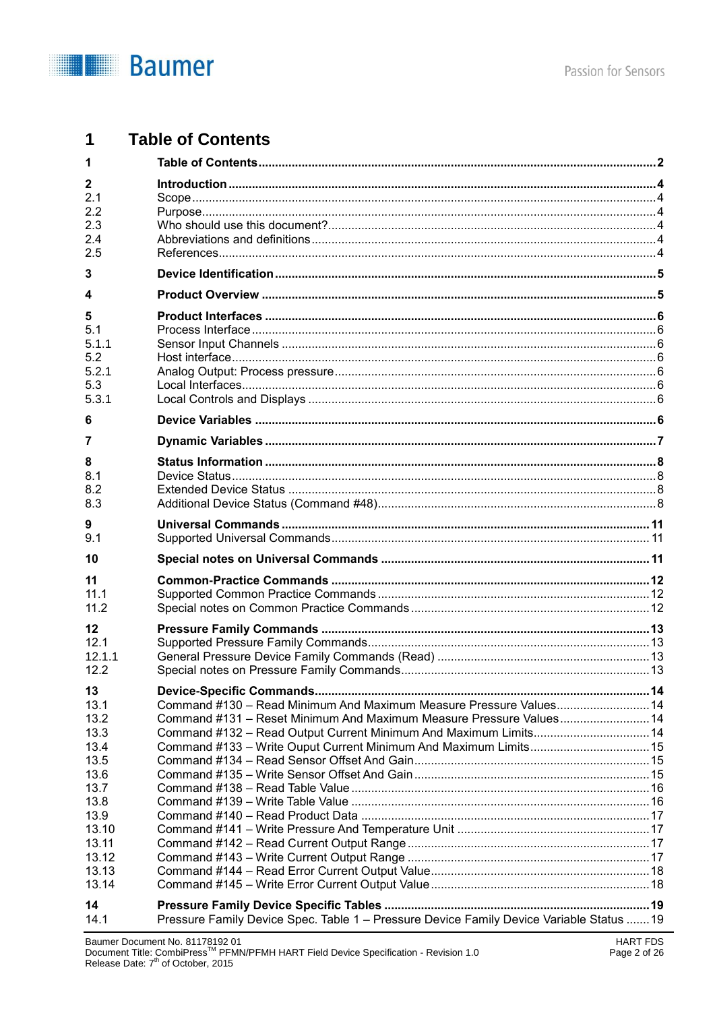

#### $\overline{1}$ **Table of Contents**

| 1                   |                                                                                          |  |
|---------------------|------------------------------------------------------------------------------------------|--|
| $\mathbf{2}$<br>2.1 |                                                                                          |  |
| 2.2                 |                                                                                          |  |
| 2.3                 |                                                                                          |  |
| 2.4<br>2.5          |                                                                                          |  |
| 3                   |                                                                                          |  |
| 4                   |                                                                                          |  |
| 5                   |                                                                                          |  |
| 5.1                 |                                                                                          |  |
| 5.1.1               |                                                                                          |  |
| 5.2<br>5.2.1        |                                                                                          |  |
| 5.3                 |                                                                                          |  |
| 5.3.1               |                                                                                          |  |
| 6                   |                                                                                          |  |
| 7                   |                                                                                          |  |
| 8                   |                                                                                          |  |
| 8.1                 |                                                                                          |  |
| 8.2                 |                                                                                          |  |
| 8.3                 |                                                                                          |  |
| 9<br>9.1            |                                                                                          |  |
| 10                  |                                                                                          |  |
| 11                  |                                                                                          |  |
| 11.1                |                                                                                          |  |
| 11.2                |                                                                                          |  |
| $12 \,$             |                                                                                          |  |
| 12.1                |                                                                                          |  |
| 12.1.1              |                                                                                          |  |
| 12.2                |                                                                                          |  |
| 13                  | Device-Specific Commands                                                                 |  |
| 13.1                | Command #130 - Read Minimum And Maximum Measure Pressure Values 14                       |  |
| 13.2                | Command #131 - Reset Minimum And Maximum Measure Pressure Values 14                      |  |
| 13.3<br>13.4        | Command #132 - Read Output Current Minimum And Maximum Limits 14                         |  |
| 13.5                |                                                                                          |  |
| 13.6                |                                                                                          |  |
| 13.7                |                                                                                          |  |
| 13.8                |                                                                                          |  |
| 13.9                |                                                                                          |  |
| 13.10<br>13.11      |                                                                                          |  |
| 13.12               |                                                                                          |  |
| 13.13               |                                                                                          |  |
| 13.14               |                                                                                          |  |
| 14                  |                                                                                          |  |
| 14.1                | Pressure Family Device Spec. Table 1 - Pressure Device Family Device Variable Status  19 |  |
|                     | Baumer Document No. 81178192 01<br><b>HART FDS</b>                                       |  |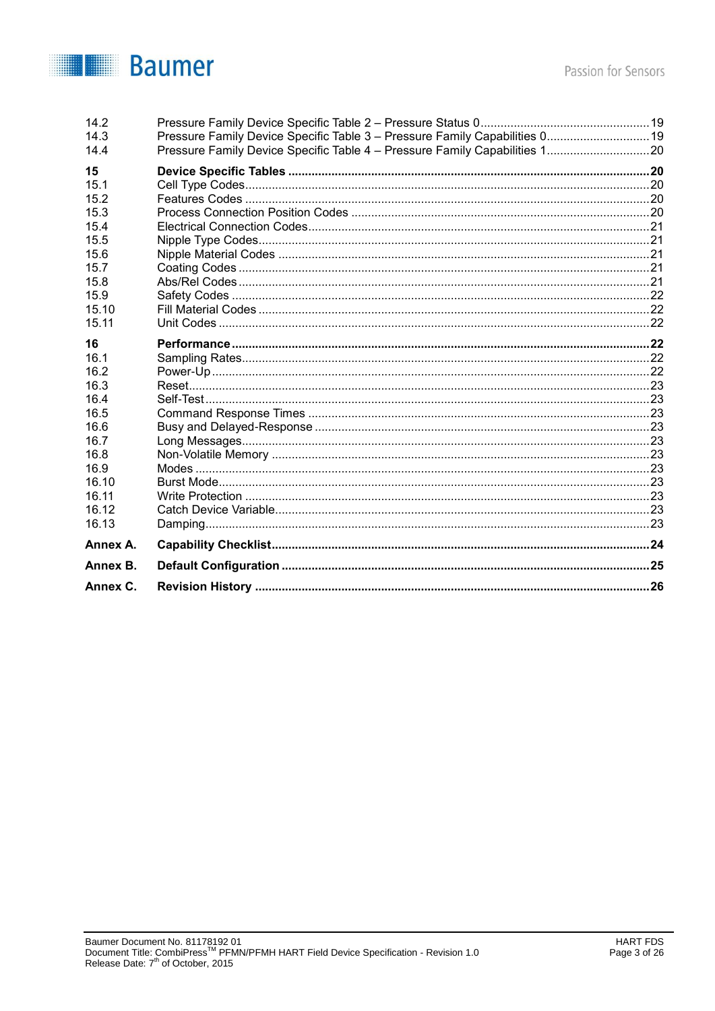

| 14.2     |                                                                             |  |
|----------|-----------------------------------------------------------------------------|--|
| 14.3     | Pressure Family Device Specific Table 3 - Pressure Family Capabilities 0 19 |  |
| 14.4     | Pressure Family Device Specific Table 4 - Pressure Family Capabilities 120  |  |
| 15       |                                                                             |  |
| 15.1     |                                                                             |  |
| 15.2     |                                                                             |  |
| 15.3     |                                                                             |  |
| 15.4     |                                                                             |  |
| 15.5     |                                                                             |  |
| 15.6     |                                                                             |  |
| 15.7     |                                                                             |  |
| 15.8     |                                                                             |  |
| 15.9     |                                                                             |  |
| 15.10    |                                                                             |  |
| 15.11    |                                                                             |  |
| 16       |                                                                             |  |
| 16.1     |                                                                             |  |
| 16.2     |                                                                             |  |
| 16.3     |                                                                             |  |
| 16.4     |                                                                             |  |
| 16.5     |                                                                             |  |
| 16.6     |                                                                             |  |
| 16.7     |                                                                             |  |
| 16.8     |                                                                             |  |
| 16.9     |                                                                             |  |
| 16.10    |                                                                             |  |
| 16.11    |                                                                             |  |
| 16.12    |                                                                             |  |
| 16.13    |                                                                             |  |
| Annex A. |                                                                             |  |
| Annex B. |                                                                             |  |
| Annex C. |                                                                             |  |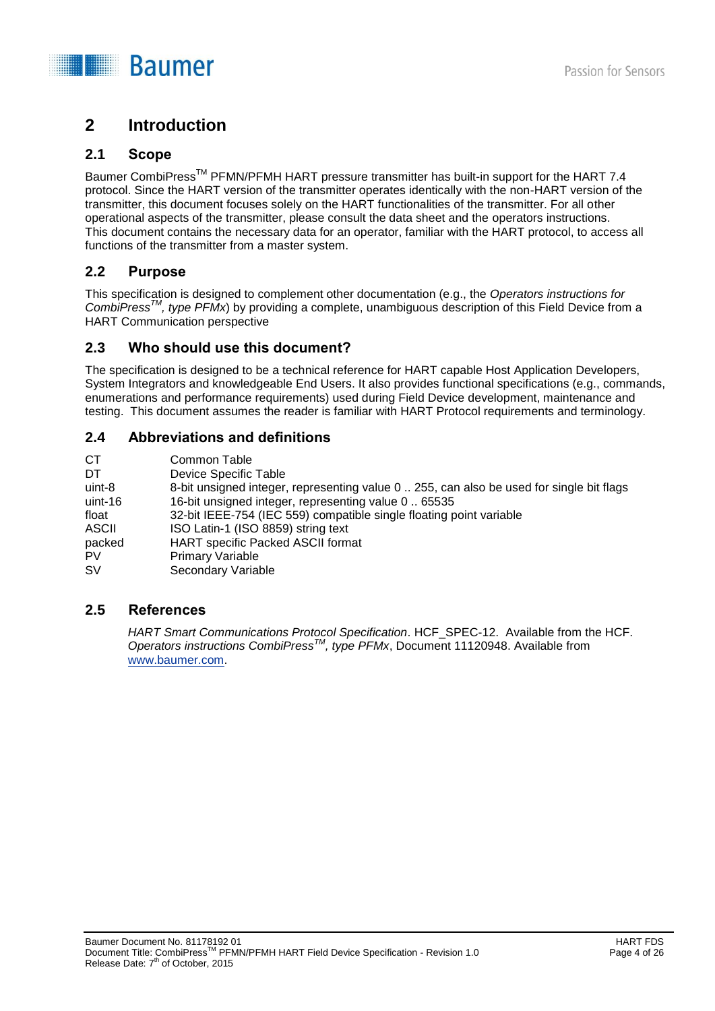

# **2 Introduction**

### **2.1 Scope**

Baumer CombiPress<sup>™</sup> PFMN/PFMH HART pressure transmitter has built-in support for the HART 7.4 protocol. Since the HART version of the transmitter operates identically with the non-HART version of the transmitter, this document focuses solely on the HART functionalities of the transmitter. For all other operational aspects of the transmitter, please consult the data sheet and the operators instructions. This document contains the necessary data for an operator, familiar with the HART protocol, to access all functions of the transmitter from a master system.

## **2.2 Purpose**

This specification is designed to complement other documentation (e.g., the *Operators instructions for CombiPressTM, type PFMx*) by providing a complete, unambiguous description of this Field Device from a HART Communication perspective

### **2.3 Who should use this document?**

The specification is designed to be a technical reference for HART capable Host Application Developers, System Integrators and knowledgeable End Users. It also provides functional specifications (e.g., commands, enumerations and performance requirements) used during Field Device development, maintenance and testing. This document assumes the reader is familiar with HART Protocol requirements and terminology.

## **2.4 Abbreviations and definitions**

| CT.          | Common Table                                                                             |
|--------------|------------------------------------------------------------------------------------------|
| DT           | Device Specific Table                                                                    |
| uint-8       | 8-bit unsigned integer, representing value 0  255, can also be used for single bit flags |
| uint-16      | 16-bit unsigned integer, representing value 0  65535                                     |
| float        | 32-bit IEEE-754 (IEC 559) compatible single floating point variable                      |
| <b>ASCII</b> | ISO Latin-1 (ISO 8859) string text                                                       |
| packed       | HART specific Packed ASCII format                                                        |
| PV           | <b>Primary Variable</b>                                                                  |
| <b>SV</b>    | Secondary Variable                                                                       |

### **2.5 References**

*HART Smart Communications Protocol Specification*. HCF\_SPEC-12. Available from the HCF. *Operators instructions CombiPressTM , type PFMx*, Document 11120948. Available from [www.baumer.com.](http://www.baumer.com/)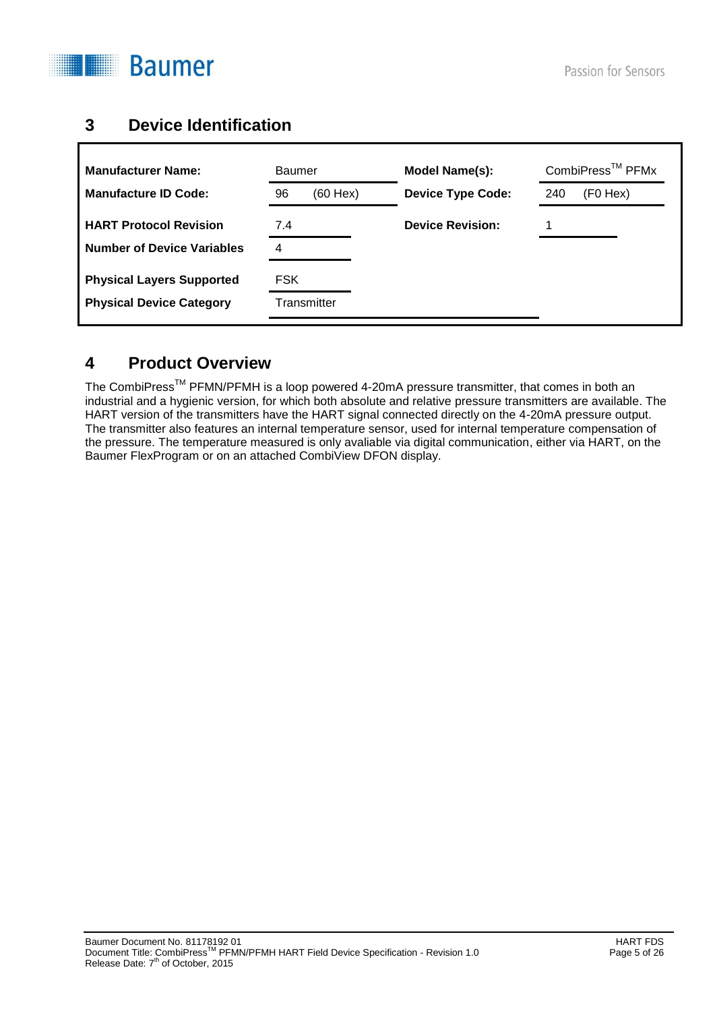

٦

# **3 Device Identification**

| <b>Manufacturer Name:</b>         | Baumer              | Model Name(s):           | CombiPress <sup>™</sup> PFMx |
|-----------------------------------|---------------------|--------------------------|------------------------------|
| <b>Manufacture ID Code:</b>       | 96<br>$(60$ Hex $)$ | <b>Device Type Code:</b> | (F0 Hex)<br>240              |
| <b>HART Protocol Revision</b>     | 7.4                 | <b>Device Revision:</b>  |                              |
| <b>Number of Device Variables</b> | 4                   |                          |                              |
| <b>Physical Layers Supported</b>  | FSK                 |                          |                              |
| <b>Physical Device Category</b>   | Transmitter         |                          |                              |

# **4 Product Overview**

The CombiPress<sup>™</sup> PFMN/PFMH is a loop powered 4-20mA pressure transmitter, that comes in both an industrial and a hygienic version, for which both absolute and relative pressure transmitters are available. The HART version of the transmitters have the HART signal connected directly on the 4-20mA pressure output. The transmitter also features an internal temperature sensor, used for internal temperature compensation of the pressure. The temperature measured is only avaliable via digital communication, either via HART, on the Baumer FlexProgram or on an attached CombiView DFON display.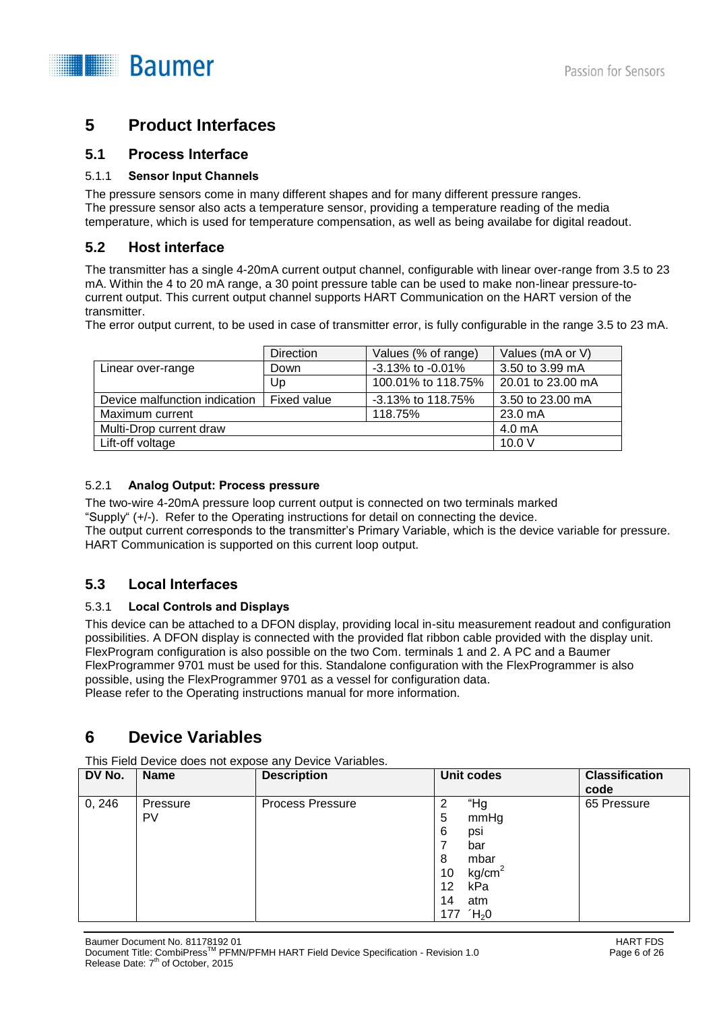

# **5 Product Interfaces**

#### **5.1 Process Interface**

#### 5.1.1 **Sensor Input Channels**

The pressure sensors come in many different shapes and for many different pressure ranges. The pressure sensor also acts a temperature sensor, providing a temperature reading of the media temperature, which is used for temperature compensation, as well as being availabe for digital readout.

#### **5.2 Host interface**

The transmitter has a single 4-20mA current output channel, configurable with linear over-range from 3.5 to 23 mA. Within the 4 to 20 mA range, a 30 point pressure table can be used to make non-linear pressure-tocurrent output. This current output channel supports HART Communication on the HART version of the transmitter.

The error output current, to be used in case of transmitter error, is fully configurable in the range 3.5 to 23 mA.

|                               | <b>Direction</b> | Values (% of range)    | Values (mA or V)  |
|-------------------------------|------------------|------------------------|-------------------|
| Linear over-range             | Down             | $-3.13\%$ to $-0.01\%$ | 3.50 to 3.99 mA   |
|                               | Up               | 100.01% to 118.75%     | 20.01 to 23.00 mA |
| Device malfunction indication | Fixed value      | $-3.13\%$ to 118.75%   | 3.50 to 23.00 mA  |
| Maximum current               |                  | 118.75%                | $23.0 \text{ mA}$ |
| Multi-Drop current draw       |                  |                        | 4.0 mA            |
| Lift-off voltage              |                  |                        | 10.0V             |

#### 5.2.1 **Analog Output: Process pressure**

The two-wire 4-20mA pressure loop current output is connected on two terminals marked "Supply" (+/-). Refer to the Operating instructions for detail on connecting the device. The output current corresponds to the transmitter's Primary Variable, which is the device variable for pressure. HART Communication is supported on this current loop output.

## **5.3 Local Interfaces**

#### 5.3.1 **Local Controls and Displays**

This device can be attached to a DFON display, providing local in-situ measurement readout and configuration possibilities. A DFON display is connected with the provided flat ribbon cable provided with the display unit. FlexProgram configuration is also possible on the two Com. terminals 1 and 2. A PC and a Baumer FlexProgrammer 9701 must be used for this. Standalone configuration with the FlexProgrammer is also possible, using the FlexProgrammer 9701 as a vessel for configuration data. Please refer to the Operating instructions manual for more information.

# **6 Device Variables**

This Field Device does not expose any Device Variables.

| DV No. | <b>Name</b>    | <b>Description</b>      | <b>Unit codes</b>                                                                                                             | <b>Classification</b><br>code |
|--------|----------------|-------------------------|-------------------------------------------------------------------------------------------------------------------------------|-------------------------------|
| 0, 246 | Pressure<br>PV | <b>Process Pressure</b> | "Hg<br>2<br>mmHg<br>5<br>6<br>psi<br>bar<br>mbar<br>8<br>kg/cm <sup>2</sup><br>10<br>12<br>kPa<br>14<br>atm<br>$H_2$ 0<br>177 | 65 Pressure                   |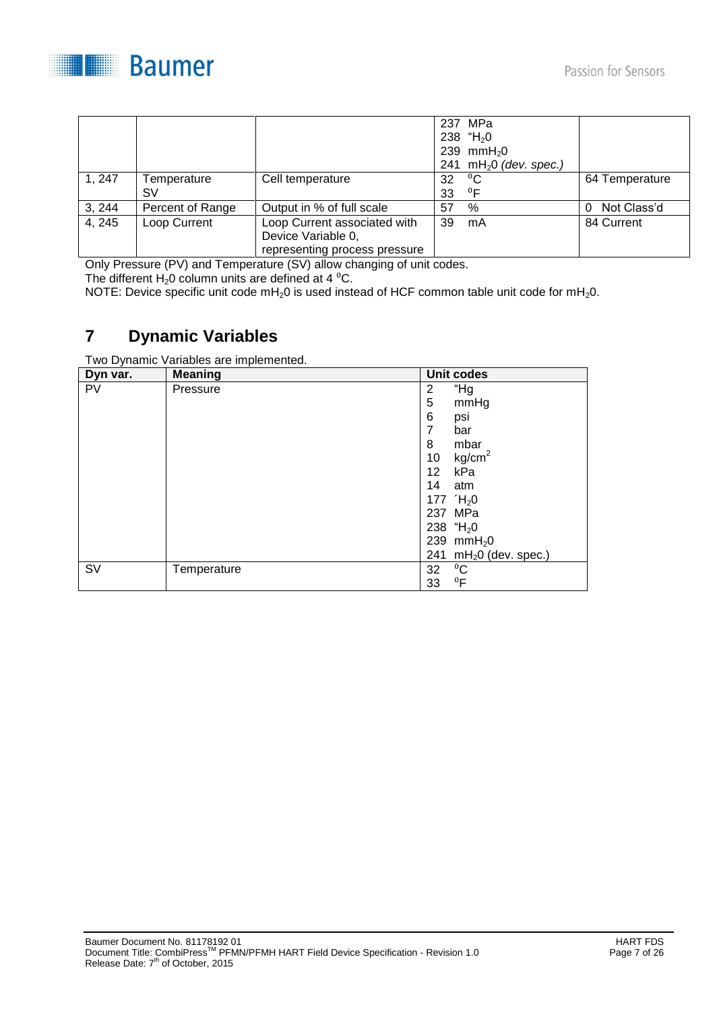



|        |                  |                               |    | 237 MPa                            |                  |
|--------|------------------|-------------------------------|----|------------------------------------|------------------|
|        |                  |                               |    | 238 "H <sub>2</sub> 0              |                  |
|        |                  |                               |    | 239 mm $H_2$ 0                     |                  |
|        |                  |                               |    | 241 mH <sub>2</sub> 0 (dev. spec.) |                  |
| 1, 247 | Temperature      | Cell temperature              | 32 | $\rm ^{0}C$                        | 64 Temperature   |
|        | SV               |                               | 33 | ${}^{0}F$                          |                  |
| 3, 244 | Percent of Range | Output in % of full scale     | 57 | %                                  | Not Class'd<br>0 |
| 4, 245 | Loop Current     | Loop Current associated with  | 39 | mA                                 | 84 Current       |
|        |                  | Device Variable 0,            |    |                                    |                  |
|        |                  | representing process pressure |    |                                    |                  |

Only Pressure (PV) and Temperature (SV) allow changing of unit codes.

The different  $H_2$ 0 column units are defined at 4  $^0C$ .

NOTE: Device specific unit code  $mH_20$  is used instead of HCF common table unit code for  $mH_20$ .

# **7 Dynamic Variables**

Two Dynamic Variables are implemented.

| Dyn var.  | <b>Meaning</b> |                 | <b>Unit codes</b>       |
|-----------|----------------|-----------------|-------------------------|
| <b>PV</b> | Pressure       | 2               | "Hg                     |
|           |                | 5               | mmHg                    |
|           |                | 6               | psi                     |
|           |                | 7               | bar                     |
|           |                | 8               | mbar                    |
|           |                | 10              | kg/cm <sup>2</sup>      |
|           |                | 12 <sup>2</sup> | kPa                     |
|           |                | 14              | atm                     |
|           |                |                 | 177 $H_2$ 0             |
|           |                |                 | 237 MPa                 |
|           |                |                 | 238 "H <sub>2</sub> 0   |
|           |                |                 | 239 mm $H_2$ 0          |
|           |                |                 | 241 $mH20$ (dev. spec.) |
| SV        | Temperature    | 32              | $^0C$                   |
|           |                | 33              | $^0$ F                  |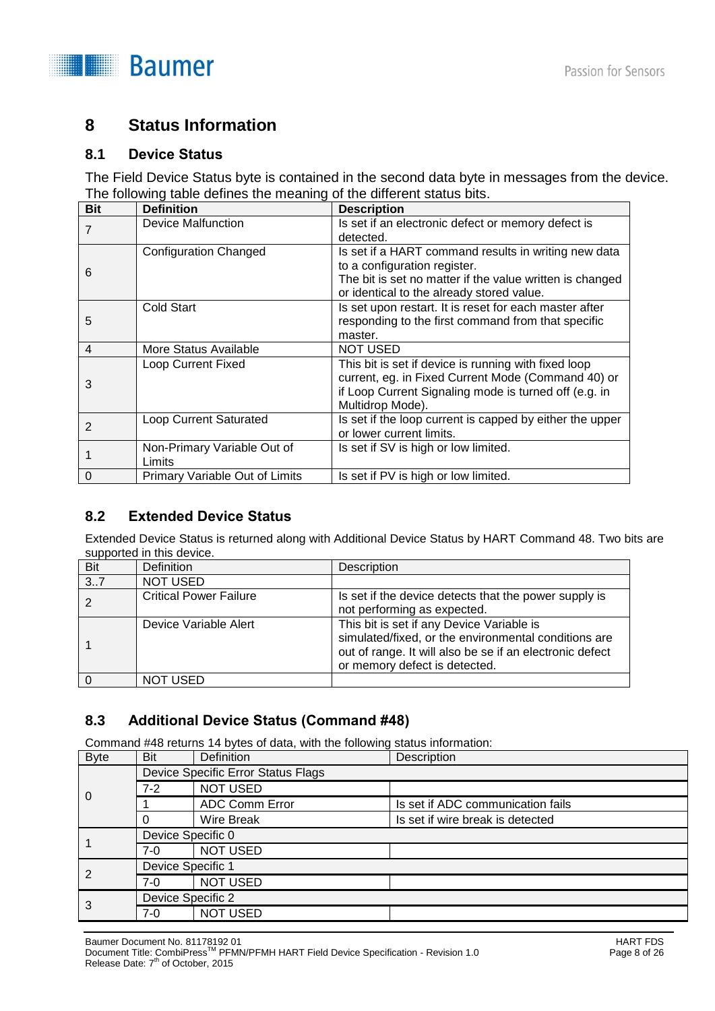

# **8 Status Information**

#### **8.1 Device Status**

The Field Device Status byte is contained in the second data byte in messages from the device. The following table defines the meaning of the different status bits.

| <b>Bit</b>     | <b>Definition</b>                     | <b>Description</b>                                                                                                                                                                            |
|----------------|---------------------------------------|-----------------------------------------------------------------------------------------------------------------------------------------------------------------------------------------------|
| 7              | Device Malfunction                    | Is set if an electronic defect or memory defect is<br>detected.                                                                                                                               |
| 6              | <b>Configuration Changed</b>          | Is set if a HART command results in writing new data<br>to a configuration register.<br>The bit is set no matter if the value written is changed<br>or identical to the already stored value. |
| 5              | Cold Start                            | Is set upon restart. It is reset for each master after<br>responding to the first command from that specific<br>master.                                                                       |
| $\overline{4}$ | More Status Available                 | <b>NOT USED</b>                                                                                                                                                                               |
| 3              | <b>Loop Current Fixed</b>             | This bit is set if device is running with fixed loop<br>current, eg. in Fixed Current Mode (Command 40) or<br>if Loop Current Signaling mode is turned off (e.g. in<br>Multidrop Mode).       |
| 2              | <b>Loop Current Saturated</b>         | Is set if the loop current is capped by either the upper<br>or lower current limits.                                                                                                          |
|                | Non-Primary Variable Out of<br>Limits | Is set if SV is high or low limited.                                                                                                                                                          |
| $\Omega$       | Primary Variable Out of Limits        | Is set if PV is high or low limited.                                                                                                                                                          |

## **8.2 Extended Device Status**

Extended Device Status is returned along with Additional Device Status by HART Command 48. Two bits are supported in this device.

| <b>Bit</b> | <b>Definition</b>             | Description                                                                                                                                                                                    |
|------------|-------------------------------|------------------------------------------------------------------------------------------------------------------------------------------------------------------------------------------------|
| 3.7        | <b>NOT USED</b>               |                                                                                                                                                                                                |
|            | <b>Critical Power Failure</b> | Is set if the device detects that the power supply is<br>not performing as expected.                                                                                                           |
|            | Device Variable Alert         | This bit is set if any Device Variable is<br>simulated/fixed, or the environmental conditions are<br>out of range. It will also be se if an electronic defect<br>or memory defect is detected. |
| $\Omega$   | NOT USED                      |                                                                                                                                                                                                |

## **8.3 Additional Device Status (Command #48)**

Command #48 returns 14 bytes of data, with the following status information:

| <b>Byte</b> | Bit               | Definition                         | Description                       |
|-------------|-------------------|------------------------------------|-----------------------------------|
|             |                   | Device Specific Error Status Flags |                                   |
| 0           | $7-2$             | <b>NOT USED</b>                    |                                   |
|             |                   | <b>ADC Comm Error</b>              | Is set if ADC communication fails |
|             |                   | <b>Wire Break</b>                  | Is set if wire break is detected  |
|             | Device Specific 0 |                                    |                                   |
|             | $7-0$             | <b>NOT USED</b>                    |                                   |
|             | Device Specific 1 |                                    |                                   |
| 2           | 7-0               | <b>NOT USED</b>                    |                                   |
| 3           | Device Specific 2 |                                    |                                   |
|             | $7-0$             | <b>NOT USED</b>                    |                                   |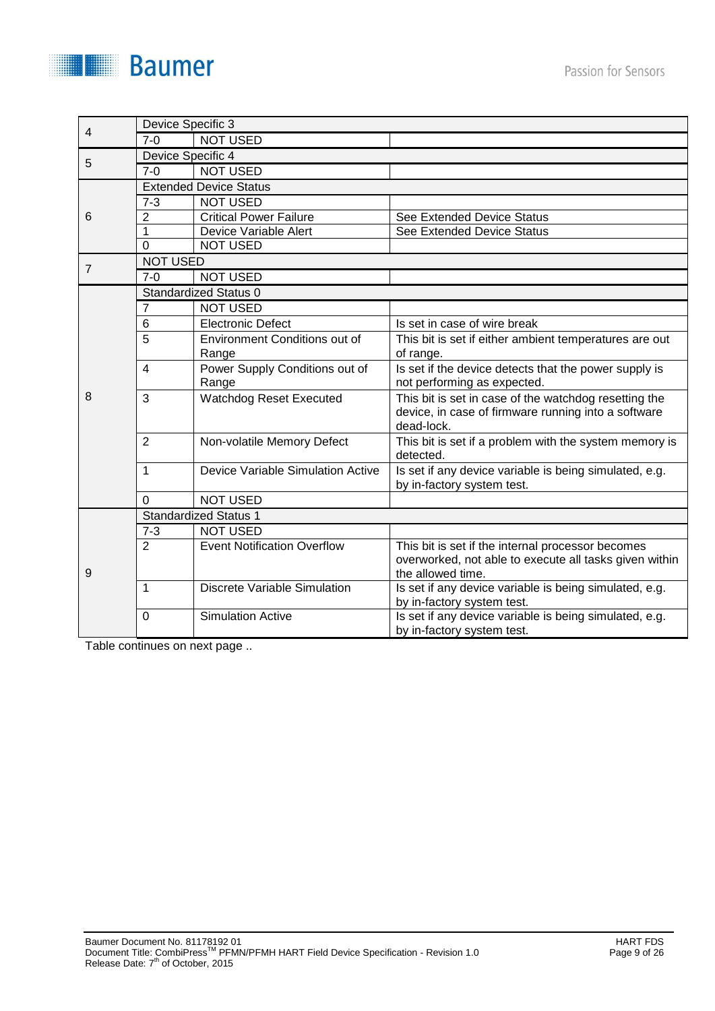| 4 | Device Specific 3 |                                         |                                                                                                                            |
|---|-------------------|-----------------------------------------|----------------------------------------------------------------------------------------------------------------------------|
|   | $7 - 0$           | <b>NOT USED</b>                         |                                                                                                                            |
| 5 | Device Specific 4 |                                         |                                                                                                                            |
|   | $7 - 0$           | <b>NOT USED</b>                         |                                                                                                                            |
|   |                   | <b>Extended Device Status</b>           |                                                                                                                            |
|   | $7 - 3$           | <b>NOT USED</b>                         |                                                                                                                            |
| 6 | $\overline{2}$    | <b>Critical Power Failure</b>           | See Extended Device Status                                                                                                 |
|   | 1                 | Device Variable Alert                   | See Extended Device Status                                                                                                 |
|   | $\Omega$          | <b>NOT USED</b>                         |                                                                                                                            |
| 7 | <b>NOT USED</b>   |                                         |                                                                                                                            |
|   | $7 - 0$           | <b>NOT USED</b>                         |                                                                                                                            |
|   |                   | Standardized Status 0                   |                                                                                                                            |
|   | $\overline{7}$    | <b>NOT USED</b>                         |                                                                                                                            |
|   | 6                 | <b>Electronic Defect</b>                | Is set in case of wire break                                                                                               |
|   | 5                 | <b>Environment Conditions out of</b>    | This bit is set if either ambient temperatures are out                                                                     |
|   |                   | Range                                   | of range.                                                                                                                  |
|   | 4                 | Power Supply Conditions out of<br>Range | Is set if the device detects that the power supply is<br>not performing as expected.                                       |
| 8 | 3                 | Watchdog Reset Executed                 | This bit is set in case of the watchdog resetting the<br>device, in case of firmware running into a software<br>dead-lock. |
|   | $\overline{2}$    | Non-volatile Memory Defect              | This bit is set if a problem with the system memory is<br>detected.                                                        |
|   | 1                 | Device Variable Simulation Active       | Is set if any device variable is being simulated, e.g.<br>by in-factory system test.                                       |
|   | $\Omega$          | <b>NOT USED</b>                         |                                                                                                                            |
|   |                   | <b>Standardized Status 1</b>            |                                                                                                                            |
|   | $7 - 3$           | <b>NOT USED</b>                         |                                                                                                                            |
|   | $\overline{2}$    | <b>Event Notification Overflow</b>      | This bit is set if the internal processor becomes                                                                          |
|   |                   |                                         | overworked, not able to execute all tasks given within                                                                     |
| 9 |                   |                                         | the allowed time.                                                                                                          |
|   | 1                 | <b>Discrete Variable Simulation</b>     | Is set if any device variable is being simulated, e.g.                                                                     |
|   |                   |                                         | by in-factory system test.                                                                                                 |
|   | $\Omega$          | <b>Simulation Active</b>                | Is set if any device variable is being simulated, e.g.                                                                     |
|   |                   |                                         | by in-factory system test.                                                                                                 |

Table continues on next page ..

**Baumer**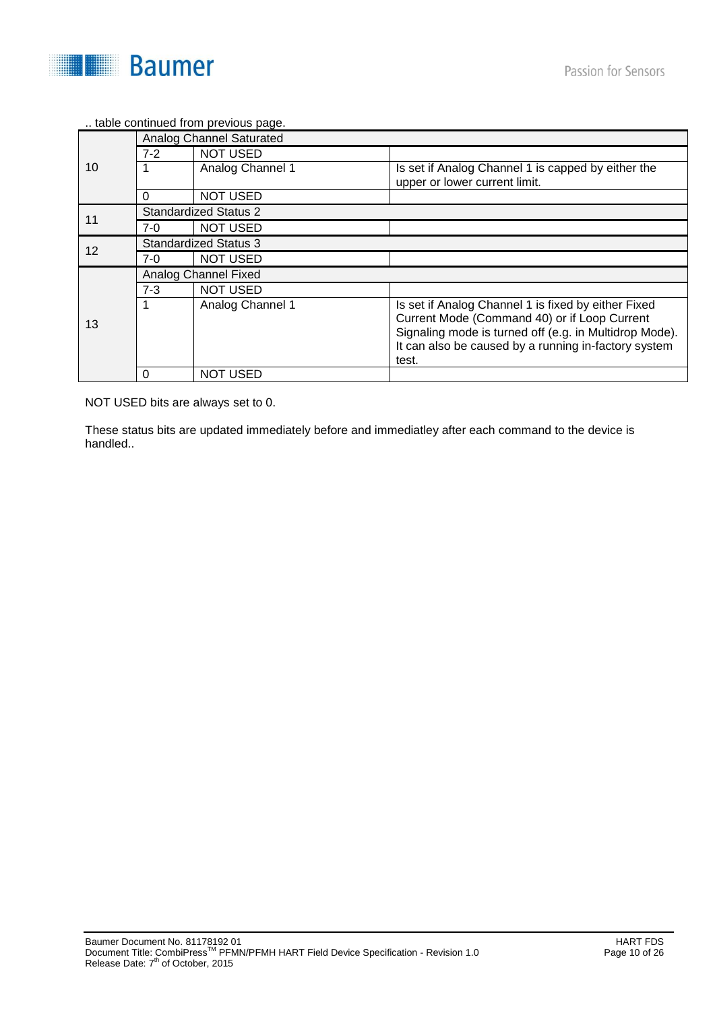

#### .. table continued from previous page.

|    |                              | Analog Channel Saturated     |                                                                                                                                                                                                                       |  |  |  |
|----|------------------------------|------------------------------|-----------------------------------------------------------------------------------------------------------------------------------------------------------------------------------------------------------------------|--|--|--|
|    | $7-2$                        | <b>NOT USED</b>              |                                                                                                                                                                                                                       |  |  |  |
| 10 |                              | Analog Channel 1             | Is set if Analog Channel 1 is capped by either the<br>upper or lower current limit.                                                                                                                                   |  |  |  |
|    | 0                            | <b>NOT USED</b>              |                                                                                                                                                                                                                       |  |  |  |
| 11 |                              | <b>Standardized Status 2</b> |                                                                                                                                                                                                                       |  |  |  |
|    | 7-0                          | <b>NOT USED</b>              |                                                                                                                                                                                                                       |  |  |  |
| 12 | <b>Standardized Status 3</b> |                              |                                                                                                                                                                                                                       |  |  |  |
|    | 7-0                          | <b>NOT USED</b>              |                                                                                                                                                                                                                       |  |  |  |
|    |                              | Analog Channel Fixed         |                                                                                                                                                                                                                       |  |  |  |
|    | $7 - 3$                      | <b>NOT USED</b>              |                                                                                                                                                                                                                       |  |  |  |
| 13 |                              | Analog Channel 1             | Is set if Analog Channel 1 is fixed by either Fixed<br>Current Mode (Command 40) or if Loop Current<br>Signaling mode is turned off (e.g. in Multidrop Mode).<br>It can also be caused by a running in-factory system |  |  |  |
|    |                              |                              | test.                                                                                                                                                                                                                 |  |  |  |
|    | 0                            | <b>NOT USED</b>              |                                                                                                                                                                                                                       |  |  |  |

NOT USED bits are always set to 0.

These status bits are updated immediately before and immediatley after each command to the device is handled..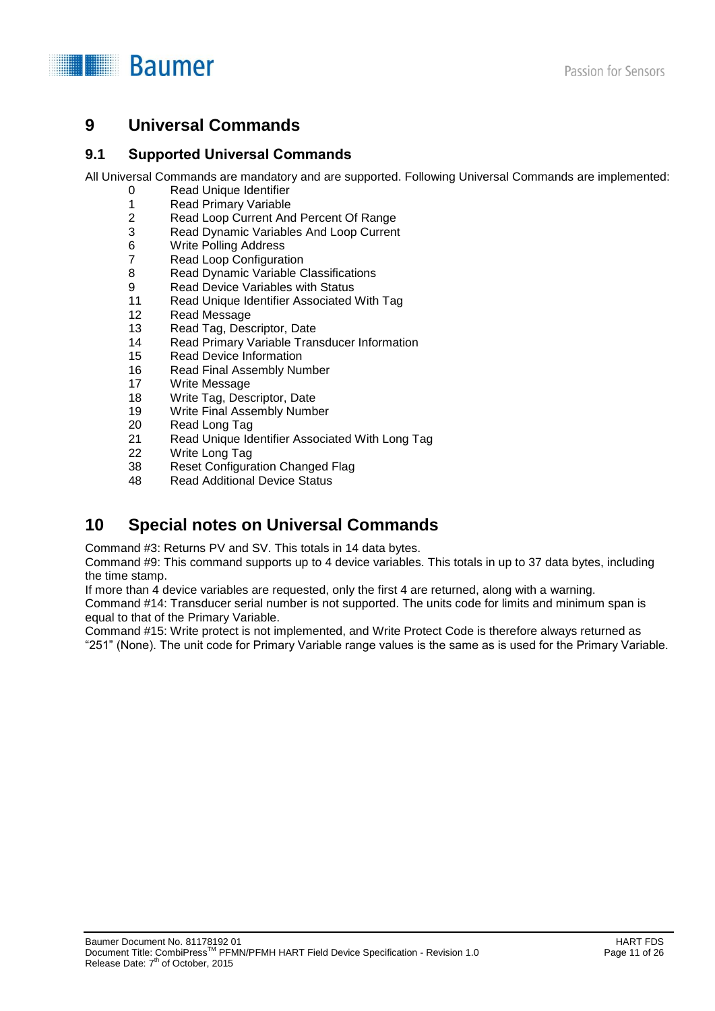

# **9 Universal Commands**

#### **9.1 Supported Universal Commands**

All Universal Commands are mandatory and are supported. Following Universal Commands are implemented:

- 0 Read Unique Identifier<br>1 Read Primary Variable
- 1 Read Primary Variable<br>2 Read Loop Current And
- 2 Read Loop Current And Percent Of Range<br>3 Read Dynamic Variables And Loop Current
- 3 Read Dynamic Variables And Loop Current
- 6 Write Polling Address
- 7 Read Loop Configuration
- 8 Read Dynamic Variable Classifications
- 9 Read Device Variables with Status
- 11 Read Unique Identifier Associated With Tag
- 12 Read Message
- 13 Read Tag, Descriptor, Date
- 14 Read Primary Variable Transducer Information
- 15 Read Device Information
- 16 Read Final Assembly Number
- 17 Write Message
- 18 Write Tag, Descriptor, Date
- 19 Write Final Assembly Number
- 20 Read Long Tag
- 21 Read Unique Identifier Associated With Long Tag
- 22 Write Long Tag<br>38 Reset Configura
- 38 Reset Configuration Changed Flag<br>48 Read Additional Device Status
- Read Additional Device Status

# **10 Special notes on Universal Commands**

Command #3: Returns PV and SV. This totals in 14 data bytes.

Command #9: This command supports up to 4 device variables. This totals in up to 37 data bytes, including the time stamp.

If more than 4 device variables are requested, only the first 4 are returned, along with a warning.

Command #14: Transducer serial number is not supported. The units code for limits and minimum span is equal to that of the Primary Variable.

Command #15: Write protect is not implemented, and Write Protect Code is therefore always returned as "251" (None). The unit code for Primary Variable range values is the same as is used for the Primary Variable.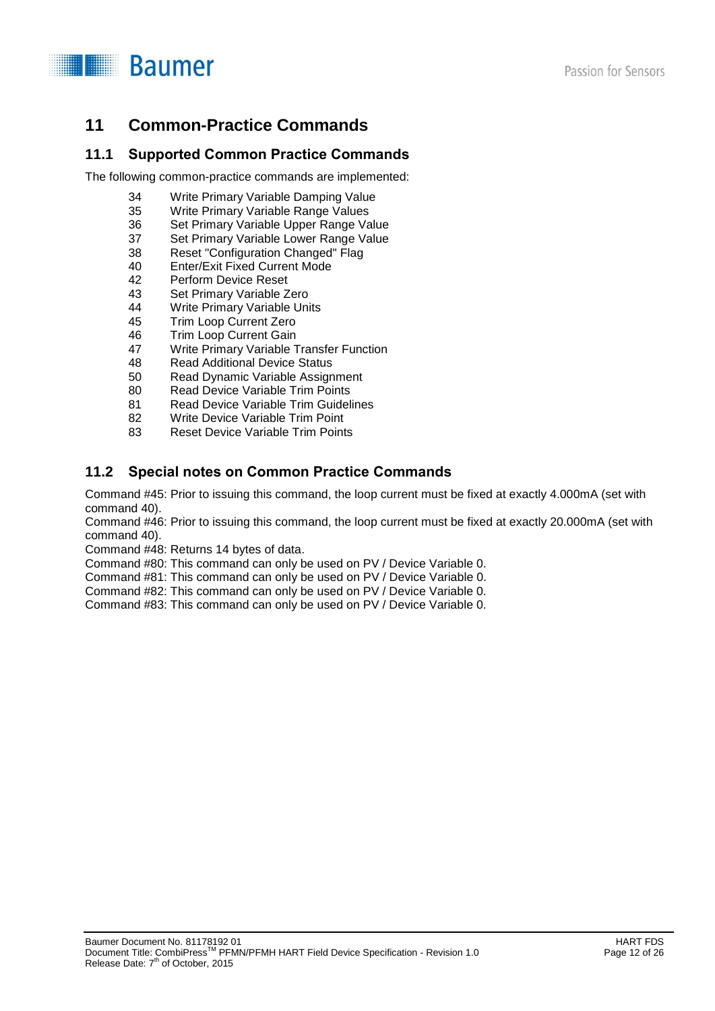



# **11 Common-Practice Commands**

### **11.1 Supported Common Practice Commands**

The following common-practice commands are implemented:

- 34 Write Primary Variable Damping Value<br>35 Write Primary Variable Range Values
- Write Primary Variable Range Values
- 36 Set Primary Variable Upper Range Value
- 37 Set Primary Variable Lower Range Value
- 38 Reset "Configuration Changed" Flag
- 40 Enter/Exit Fixed Current Mode
- 42 Perform Device Reset
- 43 Set Primary Variable Zero
- 44 Write Primary Variable Units<br>45 Trim Loop Current Zero
- 45 Trim Loop Current Zero<br>46 Trim Loop Current Gain
- Trim Loop Current Gain
- 47 Write Primary Variable Transfer Function
- 48 Read Additional Device Status
- 50 Read Dynamic Variable Assignment
- 80 Read Device Variable Trim Points
- 81 Read Device Variable Trim Guidelines
- 82 Write Device Variable Trim Point
- 83 Reset Device Variable Trim Points

# **11.2 Special notes on Common Practice Commands**

Command #45: Prior to issuing this command, the loop current must be fixed at exactly 4.000mA (set with command 40).

Command #46: Prior to issuing this command, the loop current must be fixed at exactly 20.000mA (set with command 40).

Command #48: Returns 14 bytes of data.

Command #80: This command can only be used on PV / Device Variable 0.

Command #81: This command can only be used on PV / Device Variable 0.

Command #82: This command can only be used on PV / Device Variable 0.

Command #83: This command can only be used on PV / Device Variable 0.

Passion for Sensors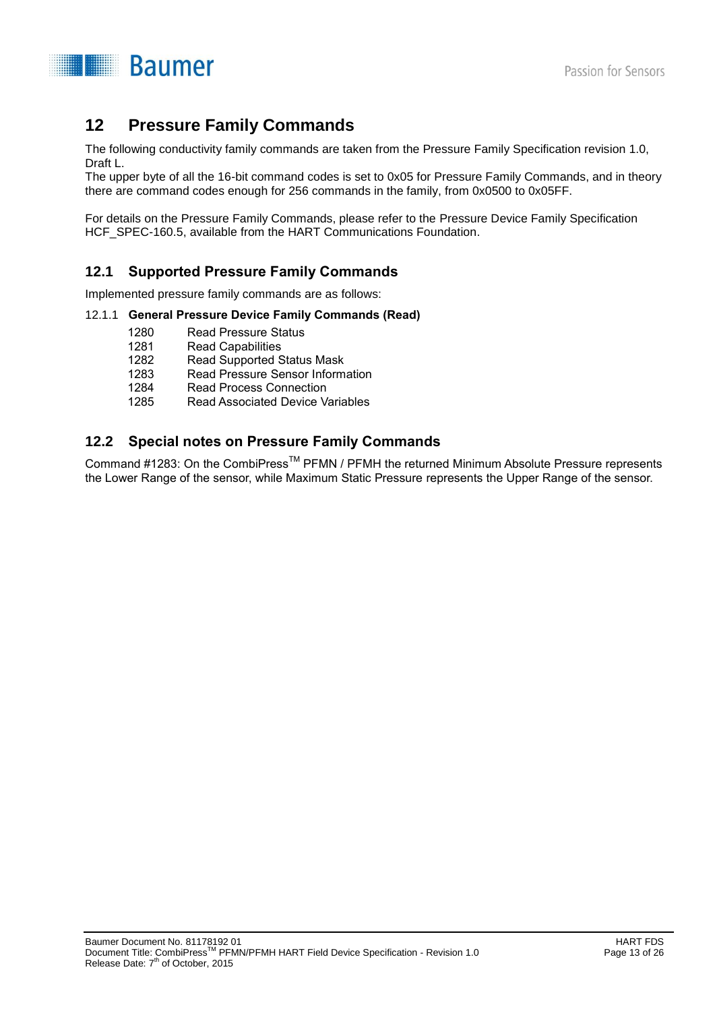

# **12 Pressure Family Commands**

The following conductivity family commands are taken from the Pressure Family Specification revision 1.0, Draft L.

The upper byte of all the 16-bit command codes is set to 0x05 for Pressure Family Commands, and in theory there are command codes enough for 256 commands in the family, from 0x0500 to 0x05FF.

For details on the Pressure Family Commands, please refer to the Pressure Device Family Specification HCF SPEC-160.5, available from the HART Communications Foundation.

## **12.1 Supported Pressure Family Commands**

Implemented pressure family commands are as follows:

#### 12.1.1 **General Pressure Device Family Commands (Read)**

- 1280 Read Pressure Status
- 1281 Read Capabilities
- 1282 Read Supported Status Mask
- 1283 Read Pressure Sensor Information
- 1284 Read Process Connection<br>1285 Read Associated Device V
- **Read Associated Device Variables**

## **12.2 Special notes on Pressure Family Commands**

Command #1283: On the CombiPress<sup>™</sup> PFMN / PFMH the returned Minimum Absolute Pressure represents the Lower Range of the sensor, while Maximum Static Pressure represents the Upper Range of the sensor.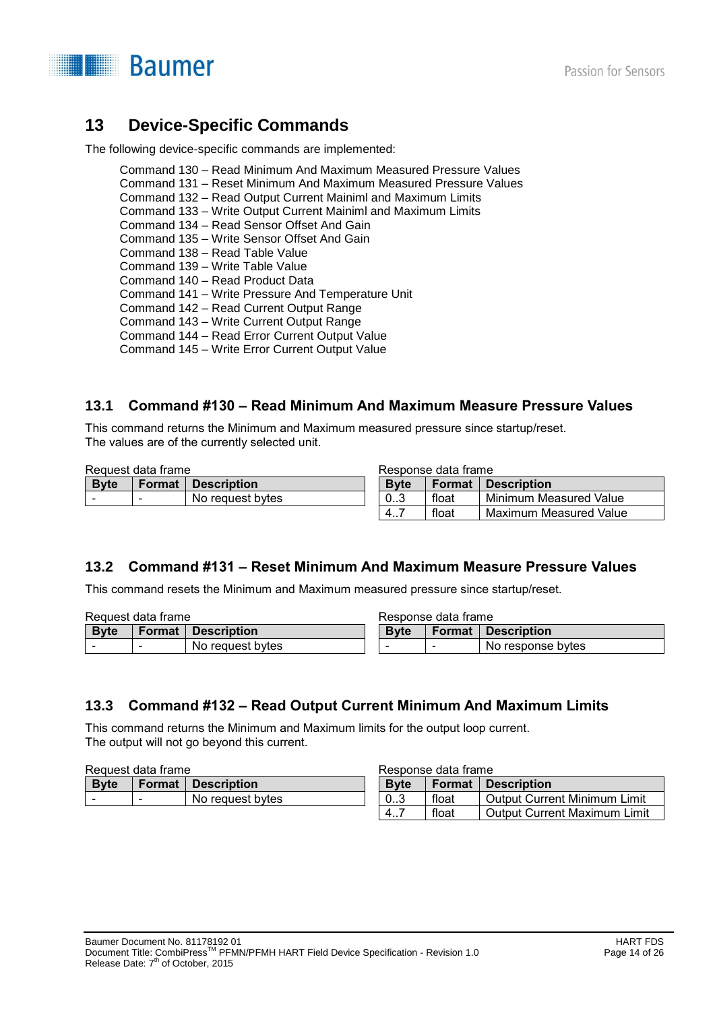

# **13 Device-Specific Commands**

The following device-specific commands are implemented:

Command 130 – Read Minimum And Maximum Measured Pressure Values Command 131 – Reset Minimum And Maximum Measured Pressure Values Command 132 – Read Output Current Mainiml and Maximum Limits Command 133 – Write Output Current Mainiml and Maximum Limits Command 134 – Read Sensor Offset And Gain Command 135 – Write Sensor Offset And Gain Command 138 – Read Table Value Command 139 – Write Table Value Command 140 – Read Product Data Command 141 – Write Pressure And Temperature Unit Command 142 – Read Current Output Range Command 143 – Write Current Output Range Command 144 – Read Error Current Output Value Command 145 – Write Error Current Output Value

## **13.1 Command #130 – Read Minimum And Maximum Measure Pressure Values**

This command returns the Minimum and Maximum measured pressure since startup/reset. The values are of the currently selected unit.

| Request data frame |                          |                    | Response data frame |        |                        |
|--------------------|--------------------------|--------------------|---------------------|--------|------------------------|
| <b>Byte</b>        | Format                   | <b>Description</b> | <b>Byte</b>         | Format | Description            |
|                    | $\overline{\phantom{a}}$ | No request bytes   | 03                  | float  | Minimum Measured Value |
|                    |                          |                    | 4                   | float  | Maximum Measured Value |

# **13.2 Command #131 – Reset Minimum And Maximum Measure Pressure Values**

This command resets the Minimum and Maximum measured pressure since startup/reset.

| Request data frame |  |                             |              | Response data frame |                             |  |
|--------------------|--|-----------------------------|--------------|---------------------|-----------------------------|--|
| <b>B</b> vte       |  | <b>Format   Description</b> | <b>B</b> vte |                     | <b>Format   Description</b> |  |
|                    |  | No request bytes            |              |                     | No response bytes           |  |

## **13.3 Command #132 – Read Output Current Minimum And Maximum Limits**

This command returns the Minimum and Maximum limits for the output loop current. The output will not go beyond this current.

| Request data frame |               |                    |             | Response data frame |                                     |
|--------------------|---------------|--------------------|-------------|---------------------|-------------------------------------|
| <b>Byte</b>        | <b>Format</b> | <b>Description</b> | <b>Byte</b> | <b>Format</b>       | <b>Description</b>                  |
|                    |               | No request bytes   | 03          | float               | <b>Output Current Minimum Limit</b> |
|                    |               |                    | 4           | float               | Output Current Maximum Limi         |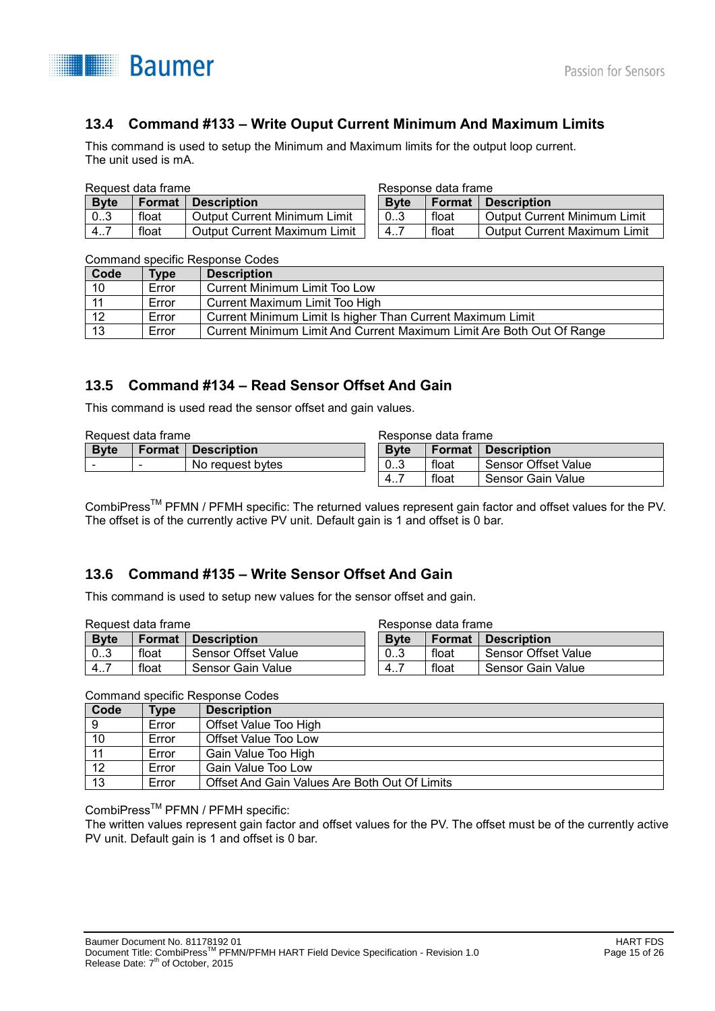

# **13.4 Command #133 – Write Ouput Current Minimum And Maximum Limits**

This command is used to setup the Minimum and Maximum limits for the output loop current. The unit used is mA.

#### Request data frame

| <b>Byte</b> |       | Format Description           |
|-------------|-------|------------------------------|
| 10.3        | float | Output Current Minimum Limit |
| l 47        | float | Output Current Maximum Limit |

| Response data frame |  |  |
|---------------------|--|--|
|---------------------|--|--|

| <b>Byte</b> |       | <b>Format Description</b>    |
|-------------|-------|------------------------------|
| 03          | float | Output Current Minimum Limit |
|             | float | Output Current Maximum Limit |

#### Command specific Response Codes

| Code | <b>Type</b> | <b>Description</b>                                                    |
|------|-------------|-----------------------------------------------------------------------|
| 10   | Error       | <b>Current Minimum Limit Too Low</b>                                  |
| 11   | Error       | Current Maximum Limit Too High                                        |
| 12   | Error       | Current Minimum Limit Is higher Than Current Maximum Limit            |
| 13   | Error       | Current Minimum Limit And Current Maximum Limit Are Both Out Of Range |

### **13.5 Command #134 – Read Sensor Offset And Gain**

This command is used read the sensor offset and gain values.

| Request data frame |  |                             |                  | Response data frame |                            |  |  |
|--------------------|--|-----------------------------|------------------|---------------------|----------------------------|--|--|
| <b>Byte</b>        |  | <b>Format   Description</b> | <b>B</b> vte     | <b>Format</b>       | Description                |  |  |
| $\sim$             |  | No request bytes            | 0 <sub>1</sub> 3 | float               | <b>Sensor Offset Value</b> |  |  |
|                    |  |                             | 4                | float               | Sensor Gain Value          |  |  |

CombiPressTM PFMN / PFMH specific: The returned values represent gain factor and offset values for the PV. The offset is of the currently active PV unit. Default gain is 1 and offset is 0 bar.

### **13.6 Command #135 – Write Sensor Offset And Gain**

This command is used to setup new values for the sensor offset and gain.

| Request data frame |        |                            |                  | Response data frame |                            |
|--------------------|--------|----------------------------|------------------|---------------------|----------------------------|
| <b>Byte</b>        | Format | Description                | <b>B</b> vte     | <b>Format</b>       | Description                |
| 0.3                | float  | <b>Sensor Offset Value</b> | 0 <sub>1</sub> 3 | float               | <b>Sensor Offset Value</b> |
| 4.7                | float  | Sensor Gain Value          | -<br>4.7         | float               | Sensor Gain Value          |

Command specific Response Codes

| Code | <b>Type</b> | <b>Description</b>                            |
|------|-------------|-----------------------------------------------|
|      | Error       | Offset Value Too High                         |
| 10   | Error       | Offset Value Too Low                          |
| 11   | Error       | Gain Value Too High                           |
| 12   | Error       | Gain Value Too Low                            |
| 13   | Error       | Offset And Gain Values Are Both Out Of Limits |

CombiPress<sup>™</sup> PFMN / PFMH specific:

The written values represent gain factor and offset values for the PV. The offset must be of the currently active PV unit. Default gain is 1 and offset is 0 bar.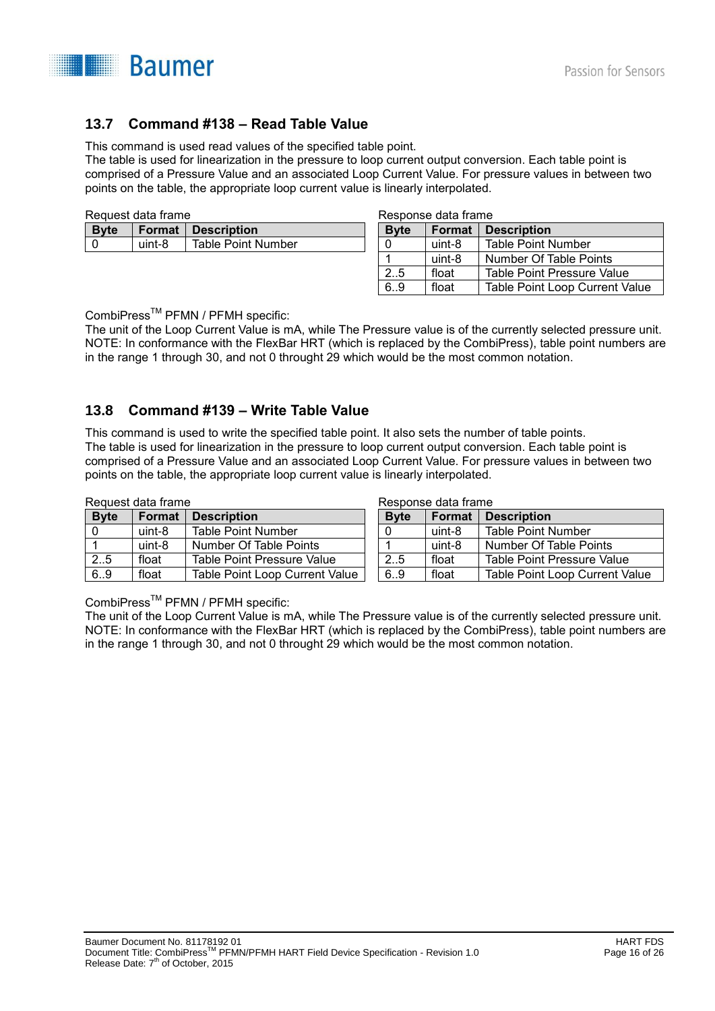

# **13.7 Command #138 – Read Table Value**

This command is used read values of the specified table point.

The table is used for linearization in the pressure to loop current output conversion. Each table point is comprised of a Pressure Value and an associated Loop Current Value. For pressure values in between two points on the table, the appropriate loop current value is linearly interpolated.

| ∣ Bvte |        | <b>Format Description</b> |  |
|--------|--------|---------------------------|--|
|        | uint-8 | <b>Table Point Number</b> |  |
|        |        |                           |  |

Response data frame

Response data frame

| <b>Byte</b> | Format | <b>Description</b>                |  |  |
|-------------|--------|-----------------------------------|--|--|
|             | uint-8 | <b>Table Point Number</b>         |  |  |
|             | uint-8 | Number Of Table Points            |  |  |
| 2.5         | float  | <b>Table Point Pressure Value</b> |  |  |
| 69          | float  | Table Point Loop Current Value    |  |  |

CombiPress<sup>™</sup> PFMN / PFMH specific:

The unit of the Loop Current Value is mA, while The Pressure value is of the currently selected pressure unit. NOTE: In conformance with the FlexBar HRT (which is replaced by the CombiPress), table point numbers are in the range 1 through 30, and not 0 throught 29 which would be the most common notation.

### **13.8 Command #139 – Write Table Value**

This command is used to write the specified table point. It also sets the number of table points. The table is used for linearization in the pressure to loop current output conversion. Each table point is comprised of a Pressure Value and an associated Loop Current Value. For pressure values in between two points on the table, the appropriate loop current value is linearly interpolated.

Request data frame

| nouucsi uutu nuniv |               |                                       | nosbonse uatu nume |               |                                       |
|--------------------|---------------|---------------------------------------|--------------------|---------------|---------------------------------------|
| <b>Byte</b>        | <b>Format</b> | <b>Description</b>                    | <b>Byte</b>        | <b>Format</b> | <b>Description</b>                    |
|                    | uint-8        | <b>Table Point Number</b>             |                    | uint-8        | <b>Table Point Number</b>             |
|                    | uint-8        | Number Of Table Points                |                    | uint-8        | Number Of Table Points                |
| 2.5                | float         | Table Point Pressure Value            | 2.5                | float         | Table Point Pressure Value            |
| 6.9                | float         | <b>Table Point Loop Current Value</b> | 6.9                | float         | <b>Table Point Loop Current Value</b> |

CombiPress<sup>™</sup> PFMN / PFMH specific:

The unit of the Loop Current Value is mA, while The Pressure value is of the currently selected pressure unit. NOTE: In conformance with the FlexBar HRT (which is replaced by the CombiPress), table point numbers are in the range 1 through 30, and not 0 throught 29 which would be the most common notation.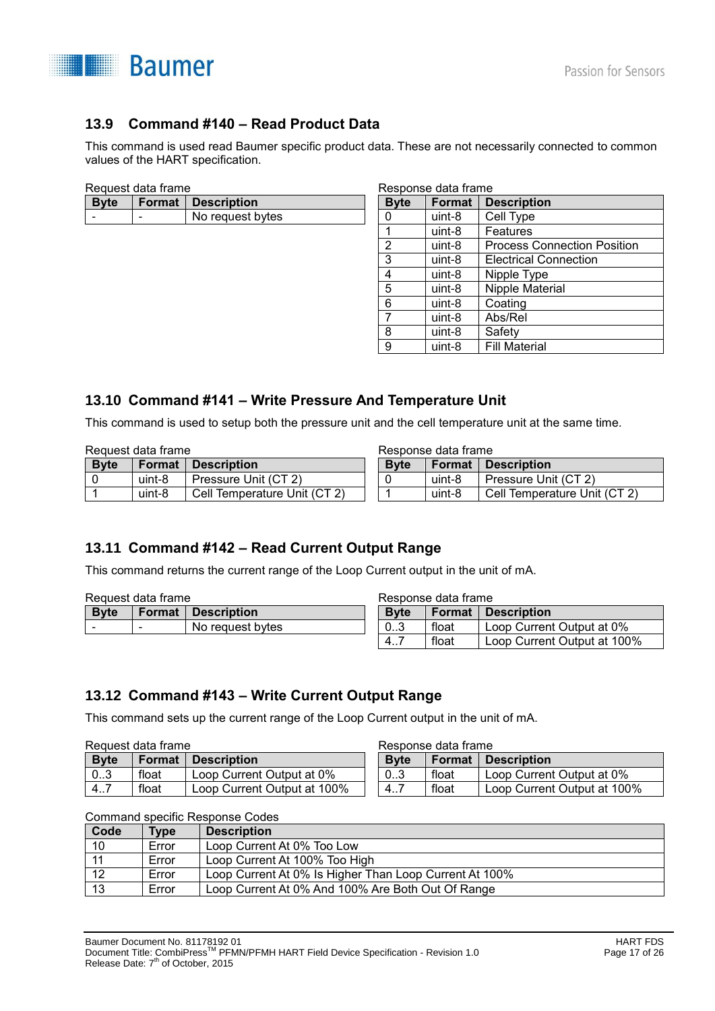

# **13.9 Command #140 – Read Product Data**

This command is used read Baumer specific product data. These are not necessarily connected to common values of the HART specification.

| <b>Byte</b> |   | Format   Description |
|-------------|---|----------------------|
|             | - | No request bytes     |
|             |   |                      |

| Response data frame |        |                                    |  |  |  |
|---------------------|--------|------------------------------------|--|--|--|
| <b>Byte</b>         | Format | <b>Description</b>                 |  |  |  |
| 0                   | uint-8 | Cell Type                          |  |  |  |
| 1                   | uint-8 | Features                           |  |  |  |
| 2                   | uint-8 | <b>Process Connection Position</b> |  |  |  |
| 3                   | uint-8 | <b>Electrical Connection</b>       |  |  |  |
| 4                   | uint-8 | Nipple Type                        |  |  |  |
| 5                   | uint-8 | Nipple Material                    |  |  |  |
| 6                   | uint-8 | Coating                            |  |  |  |
| 7                   | uint-8 | Abs/Rel                            |  |  |  |
| 8                   | uint-8 | Safety                             |  |  |  |
| 9                   | uint-8 | <b>Fill Material</b>               |  |  |  |

### **13.10 Command #141 – Write Pressure And Temperature Unit**

This command is used to setup both the pressure unit and the cell temperature unit at the same time.

| Request data frame |               |                              |              | Response data frame |                              |  |  |
|--------------------|---------------|------------------------------|--------------|---------------------|------------------------------|--|--|
| <b>Byte</b>        | <b>Format</b> | <b>Description</b>           | <b>B</b> vte | Format              | Description                  |  |  |
|                    | uint-8        | Pressure Unit (CT 2)         |              | uint-8              | Pressure Unit (CT 2)         |  |  |
|                    | uint-8        | Cell Temperature Unit (CT 2) |              | uint-8              | Cell Temperature Unit (CT 2) |  |  |

## **13.11 Command #142 – Read Current Output Range**

This command returns the current range of the Loop Current output in the unit of mA.

| Request data frame |                          | Response data frame         |                  |       |                             |
|--------------------|--------------------------|-----------------------------|------------------|-------|-----------------------------|
| <b>Byte</b>        |                          | <b>Format   Description</b> | <b>Byte</b>      |       | <b>Format   Description</b> |
| ۰                  | $\overline{\phantom{a}}$ | No request bytes            | 0 <sub>0.3</sub> | float | Loop Current Output at 0%   |
|                    |                          |                             | -4               | float | Loop Current Output at 100% |

### **13.12 Command #143 – Write Current Output Range**

This command sets up the current range of the Loop Current output in the unit of mA.

| <b>Byte</b> | <b>Format</b> | <b>Description</b>          | <b>B</b> vte | Format | <b>Description</b>          |
|-------------|---------------|-----------------------------|--------------|--------|-----------------------------|
| 03          | float         | Loop Current Output at 0%   | 03           | float  | Loop Current Output at 0%   |
| 4           | float         | Loop Current Output at 100% | --<br>4      | float  | Loop Current Output at 100% |

Response data frame

Command specific Response Codes

| Code | <b>Type</b> | <b>Description</b>                                     |
|------|-------------|--------------------------------------------------------|
| 10   | Error       | Loop Current At 0% Too Low                             |
|      | Error       | Loop Current At 100% Too High                          |
| 12   | Error       | Loop Current At 0% Is Higher Than Loop Current At 100% |
| 13   | Error       | Loop Current At 0% And 100% Are Both Out Of Range      |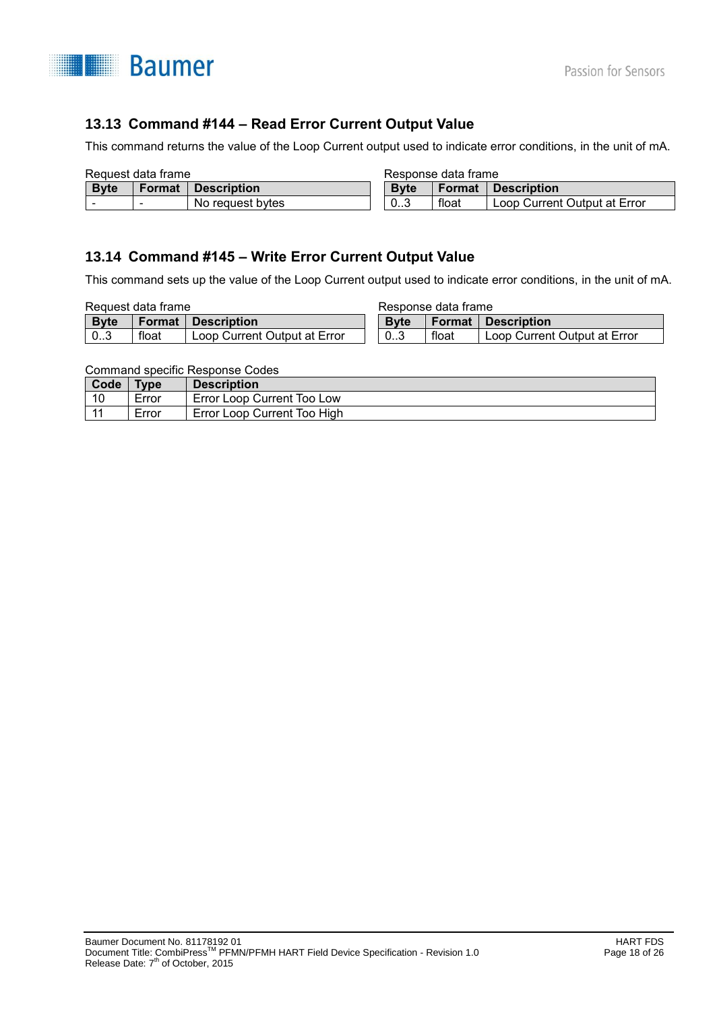

# **13.13 Command #144 – Read Error Current Output Value**

This command returns the value of the Loop Current output used to indicate error conditions, in the unit of mA.

| Request data frame |               | Response data frame |              |        |                              |
|--------------------|---------------|---------------------|--------------|--------|------------------------------|
| <b>Byte</b>        | <b>Format</b> | <b>Description</b>  | <b>B</b> vte | Format | <b>Description</b>           |
|                    |               | No request bytes    | 03           | float  | Loop Current Output at Error |

## **13.14 Command #145 – Write Error Current Output Value**

This command sets up the value of the Loop Current output used to indicate error conditions, in the unit of mA.

| Request data frame |        |                              | Response data frame |        |                              |
|--------------------|--------|------------------------------|---------------------|--------|------------------------------|
| <b>Byte</b>        | Format | :I Description               | <b>B</b> vte        | Format | :I Description               |
| 03                 | float  | Loop Current Output at Error | 0 <sub>1</sub> 3    | float  | Loop Current Output at Error |

Command specific Response Codes

| Code  | <b>Type</b> | <b>Description</b>          |
|-------|-------------|-----------------------------|
| 10    | Error       | Error Loop Current Too Low  |
| $-11$ | Error       | Error Loop Current Too High |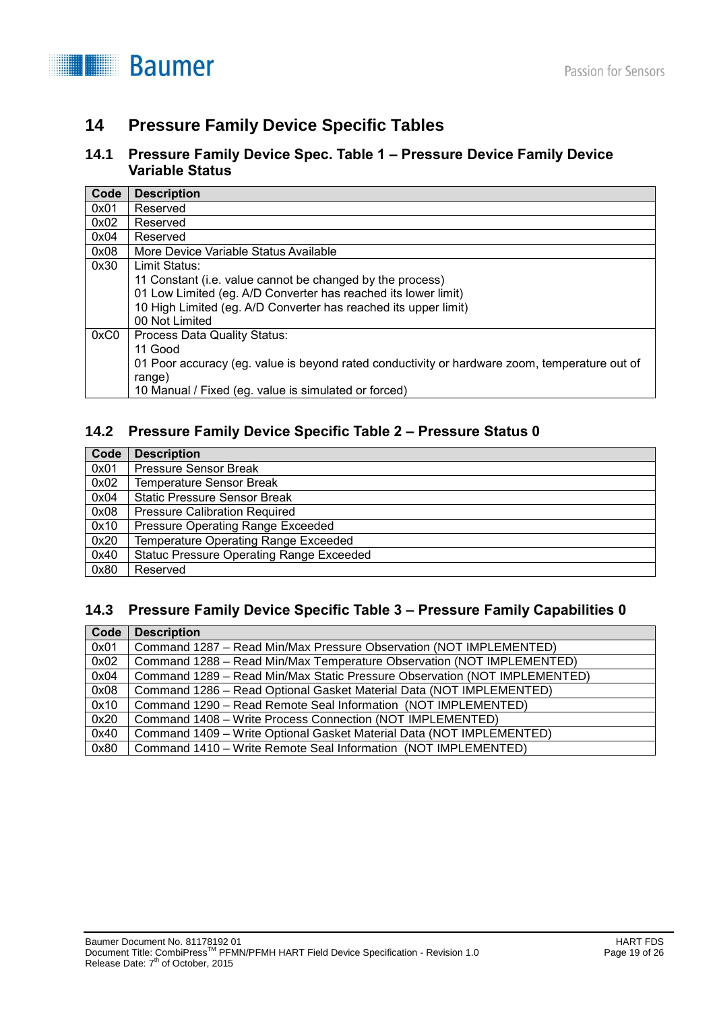**Baumer** 

# **14 Pressure Family Device Specific Tables**

### **14.1 Pressure Family Device Spec. Table 1 – Pressure Device Family Device Variable Status**

| Code | <b>Description</b>                                                                            |
|------|-----------------------------------------------------------------------------------------------|
| 0x01 | Reserved                                                                                      |
| 0x02 | Reserved                                                                                      |
| 0x04 | Reserved                                                                                      |
| 0x08 | More Device Variable Status Available                                                         |
| 0x30 | Limit Status:                                                                                 |
|      | 11 Constant (i.e. value cannot be changed by the process)                                     |
|      | 01 Low Limited (eg. A/D Converter has reached its lower limit)                                |
|      | 10 High Limited (eg. A/D Converter has reached its upper limit)                               |
|      | 00 Not Limited                                                                                |
| 0xC0 | <b>Process Data Quality Status:</b>                                                           |
|      | 11 Good                                                                                       |
|      | 01 Poor accuracy (eg. value is beyond rated conductivity or hardware zoom, temperature out of |
|      | range)                                                                                        |
|      | 10 Manual / Fixed (eg. value is simulated or forced)                                          |

# **14.2 Pressure Family Device Specific Table 2 – Pressure Status 0**

| Code | <b>Description</b>                              |
|------|-------------------------------------------------|
| 0x01 | Pressure Sensor Break                           |
| 0x02 | <b>Temperature Sensor Break</b>                 |
| 0x04 | <b>Static Pressure Sensor Break</b>             |
| 0x08 | <b>Pressure Calibration Required</b>            |
| 0x10 | Pressure Operating Range Exceeded               |
| 0x20 | Temperature Operating Range Exceeded            |
| 0x40 | <b>Statuc Pressure Operating Range Exceeded</b> |
| 0x80 | Reserved                                        |

### **14.3 Pressure Family Device Specific Table 3 – Pressure Family Capabilities 0**

| Code | <b>Description</b>                                                        |
|------|---------------------------------------------------------------------------|
| 0x01 | Command 1287 – Read Min/Max Pressure Observation (NOT IMPLEMENTED)        |
| 0x02 | Command 1288 – Read Min/Max Temperature Observation (NOT IMPLEMENTED)     |
| 0x04 | Command 1289 – Read Min/Max Static Pressure Observation (NOT IMPLEMENTED) |
| 0x08 | Command 1286 - Read Optional Gasket Material Data (NOT IMPLEMENTED)       |
| 0x10 | Command 1290 - Read Remote Seal Information (NOT IMPLEMENTED)             |
| 0x20 | Command 1408 – Write Process Connection (NOT IMPLEMENTED)                 |
| 0x40 | Command 1409 – Write Optional Gasket Material Data (NOT IMPLEMENTED)      |
| 0x80 | Command 1410 – Write Remote Seal Information (NOT IMPLEMENTED)            |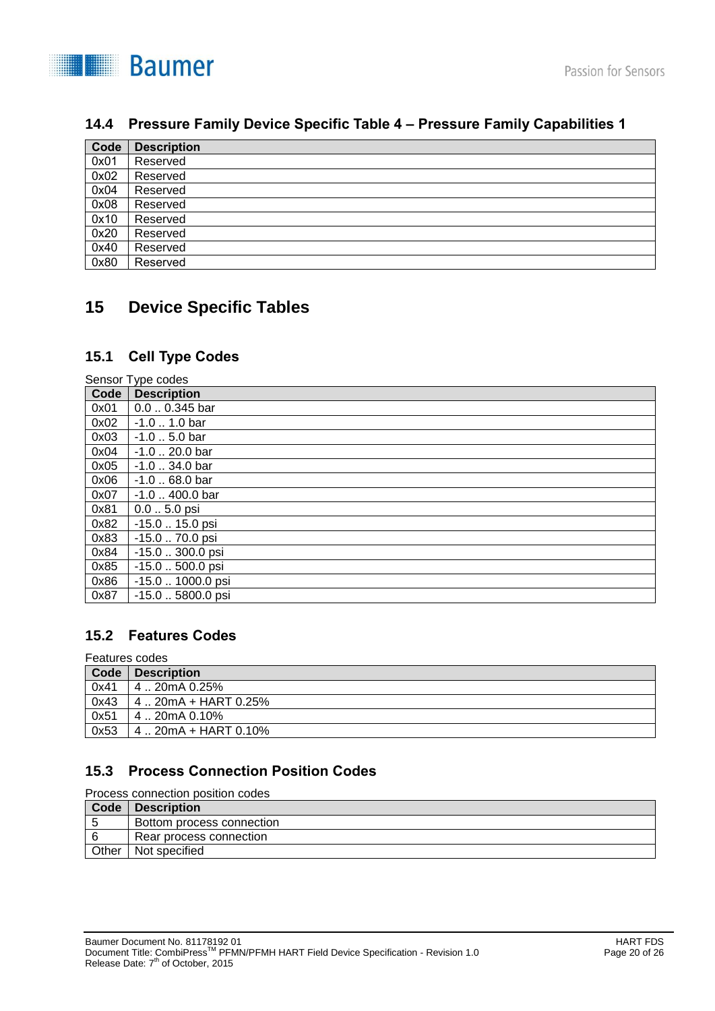

## **14.4 Pressure Family Device Specific Table 4 – Pressure Family Capabilities 1**

| Code | <b>Description</b> |
|------|--------------------|
| 0x01 | Reserved           |
| 0x02 | Reserved           |
| 0x04 | Reserved           |
| 0x08 | Reserved           |
| 0x10 | Reserved           |
| 0x20 | Reserved           |
| 0x40 | Reserved           |
| 0x80 | Reserved           |

# **15 Device Specific Tables**

# **15.1 Cell Type Codes**

| Sensor Type codes |                             |  |
|-------------------|-----------------------------|--|
| Code              | <b>Description</b>          |  |
| 0x01              | $0.00.345$ bar              |  |
| 0x02              | $-1.0$ 1.0 bar              |  |
| 0x03              | $-1.0$ 5.0 bar              |  |
| 0x04              | $-1.0$ $\ldots$ 20.0 bar    |  |
| 0x05              | $-1.0$ $\ldots$ 34.0 bar    |  |
| 0x06              | $-1.0$ $\ldots$ 68.0 bar    |  |
| 0x07              | $-1.0$ $\ldots$ 400.0 bar   |  |
| 0x81              | $0.05.0$ psi                |  |
| 0x82              | $-15.0$ $\ldots$ 15.0 psi   |  |
| 0x83              | $-15.0$ 70.0 psi            |  |
| 0x84              | $-15.0$ $\ldots$ 300.0 psi  |  |
| 0x85              | -15.0  500.0 psi            |  |
| 0x86              | -15.0  1000.0 psi           |  |
| 0x87              | $-15.0$ $\ldots$ 5800.0 psi |  |

## **15.2 Features Codes**

#### Features codes

| Code | <b>Description</b>     |
|------|------------------------|
| 0x41 | 4  20mA 0.25%          |
| 0x43 | 4  20mA + HART 0.25%   |
| 0x51 | $4:20mA$ 0.10%         |
| 0x53 | $4.20mA + HART 0.10\%$ |

# **15.3 Process Connection Position Codes**

Process connection position codes

| Code  | Description               |
|-------|---------------------------|
| -5    | Bottom process connection |
| i 6   | Rear process connection   |
| Other | l Not specified           |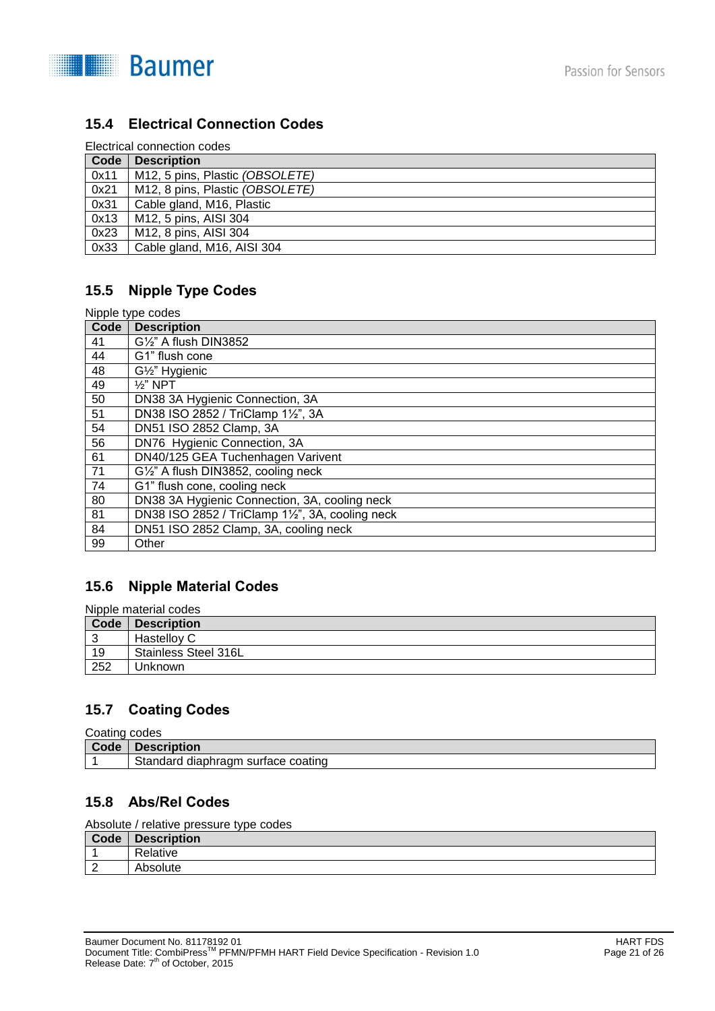

# **15.4 Electrical Connection Codes**

|--|

| Code | <b>Description</b>              |
|------|---------------------------------|
| 0x11 | M12, 5 pins, Plastic (OBSOLETE) |
| 0x21 | M12, 8 pins, Plastic (OBSOLETE) |
| 0x31 | Cable gland, M16, Plastic       |
| 0x13 | M12, 5 pins, AISI 304           |
| 0x23 | M12, 8 pins, AISI 304           |
| 0x33 | Cable gland, M16, AISI 304      |

# **15.5 Nipple Type Codes**

| Nipple type codes |                                                |  |
|-------------------|------------------------------------------------|--|
| Code              | <b>Description</b>                             |  |
| 41                | $G\frac{1}{2}$ " A flush DIN3852               |  |
| 44                | G1" flush cone                                 |  |
| 48                | G1/2" Hygienic                                 |  |
| 49                | $\frac{1}{2}$ " NPT                            |  |
| 50                | DN38 3A Hygienic Connection, 3A                |  |
| 51                | DN38 ISO 2852 / TriClamp 11/2", 3A             |  |
| 54                | DN51 ISO 2852 Clamp, 3A                        |  |
| 56                | DN76 Hygienic Connection, 3A                   |  |
| 61                | DN40/125 GEA Tuchenhagen Varivent              |  |
| 71                | G1/2" A flush DIN3852, cooling neck            |  |
| 74                | G1" flush cone, cooling neck                   |  |
| 80                | DN38 3A Hygienic Connection, 3A, cooling neck  |  |
| 81                | DN38 ISO 2852 / TriClamp 1½", 3A, cooling neck |  |
| 84                | DN51 ISO 2852 Clamp, 3A, cooling neck          |  |
| 99                | Other                                          |  |

## **15.6 Nipple Material Codes**

Nipple material codes

| Code | <b>Description</b>   |
|------|----------------------|
|      | Hastelloy C          |
| 19   | Stainless Steel 316L |
| 252  | Unknown              |

# **15.7 Coating Codes**

Coating codes

| Code | Description                              |
|------|------------------------------------------|
|      | Standard<br>diaphragm<br>surtace coating |

## **15.8 Abs/Rel Codes**

Absolute / relative pressure type codes

| Code               | <b>Description</b> |
|--------------------|--------------------|
|                    | Relative           |
| $\sim$<br><u>_</u> | Absolute           |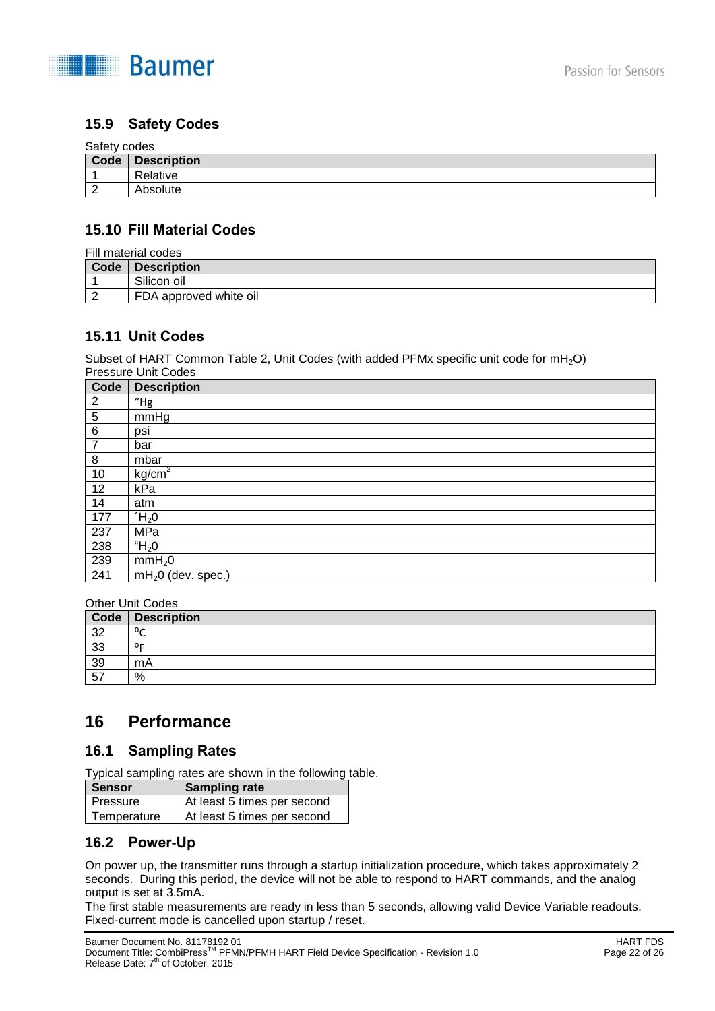

### **15.9 Safety Codes**

#### Safety codes

| Code     | <b>Description</b> |
|----------|--------------------|
|          | Relative           |
| <u>_</u> | Absolute           |

#### **15.10 Fill Material Codes**

| Fill material codes |                        |  |
|---------------------|------------------------|--|
| Code                | <b>Description</b>     |  |
|                     | Silicon oil            |  |
|                     | FDA approved white oil |  |

# **15.11 Unit Codes**

Subset of HART Common Table 2, Unit Codes (with added PFMx specific unit code for  $mH_2O$ ) Pressure Unit Codes

| Code           | <b>Description</b>  |
|----------------|---------------------|
| $\overline{2}$ | $"$ Hg              |
| 5              | mmHg                |
| $\,6$          | psi                 |
| $\overline{7}$ | bar                 |
| 8              | mbar                |
| 10             | kg/cm <sup>2</sup>  |
| 12             | kPa                 |
| 14             | atm                 |
| 177            | $H_2$ 0             |
| 237            | MPa                 |
| 238            | " $H_2$ 0           |
| 239            | mmH <sub>2</sub> 0  |
| 241            | $mH20$ (dev. spec.) |

#### Other Unit Codes

| Code | <b>Description</b> |
|------|--------------------|
| 32   | $0^{\circ}$        |
| 33   | 0 <sub>5</sub>     |
| 39   | mA                 |
| 57   | %                  |

# **16 Performance**

#### **16.1 Sampling Rates**

Typical sampling rates are shown in the following table.

| <b>Sensor</b> | <b>Sampling rate</b>        |
|---------------|-----------------------------|
| Pressure      | At least 5 times per second |
| Temperature   | At least 5 times per second |

### **16.2 Power-Up**

On power up, the transmitter runs through a startup initialization procedure, which takes approximately 2 seconds. During this period, the device will not be able to respond to HART commands, and the analog output is set at 3.5mA.

The first stable measurements are ready in less than 5 seconds, allowing valid Device Variable readouts. Fixed-current mode is cancelled upon startup / reset.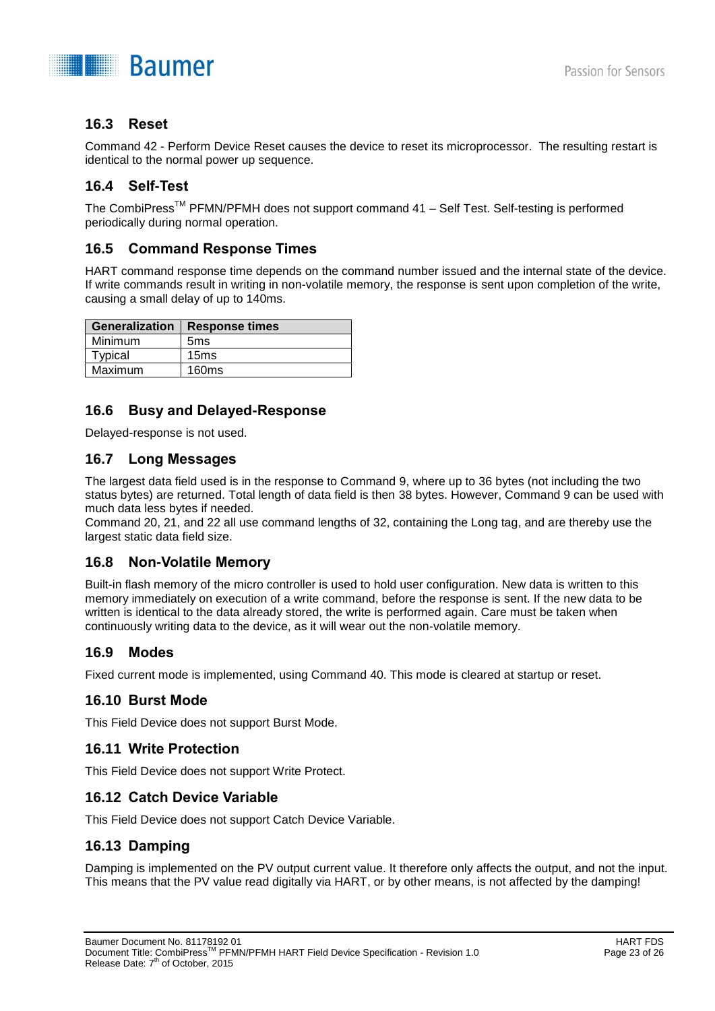

## **16.3 Reset**

Command 42 - Perform Device Reset causes the device to reset its microprocessor. The resulting restart is identical to the normal power up sequence.

## **16.4 Self-Test**

The CombiPress<sup>™</sup> PFMN/PFMH does not support command 41 – Self Test. Self-testing is performed periodically during normal operation.

### **16.5 Command Response Times**

HART command response time depends on the command number issued and the internal state of the device. If write commands result in writing in non-volatile memory, the response is sent upon completion of the write, causing a small delay of up to 140ms.

| <b>Generalization</b> | <b>Response times</b> |
|-----------------------|-----------------------|
| Minimum               | 5 <sub>ms</sub>       |
| Typical               | 15ms                  |
| Maximum               | 160ms                 |

## **16.6 Busy and Delayed-Response**

Delayed-response is not used.

### **16.7 Long Messages**

The largest data field used is in the response to Command 9, where up to 36 bytes (not including the two status bytes) are returned. Total length of data field is then 38 bytes. However, Command 9 can be used with much data less bytes if needed.

Command 20, 21, and 22 all use command lengths of 32, containing the Long tag, and are thereby use the largest static data field size.

### **16.8 Non-Volatile Memory**

Built-in flash memory of the micro controller is used to hold user configuration. New data is written to this memory immediately on execution of a write command, before the response is sent. If the new data to be written is identical to the data already stored, the write is performed again. Care must be taken when continuously writing data to the device, as it will wear out the non-volatile memory.

### **16.9 Modes**

Fixed current mode is implemented, using Command 40. This mode is cleared at startup or reset.

## **16.10 Burst Mode**

This Field Device does not support Burst Mode.

### **16.11 Write Protection**

This Field Device does not support Write Protect.

### **16.12 Catch Device Variable**

This Field Device does not support Catch Device Variable.

### **16.13 Damping**

Damping is implemented on the PV output current value. It therefore only affects the output, and not the input. This means that the PV value read digitally via HART, or by other means, is not affected by the damping!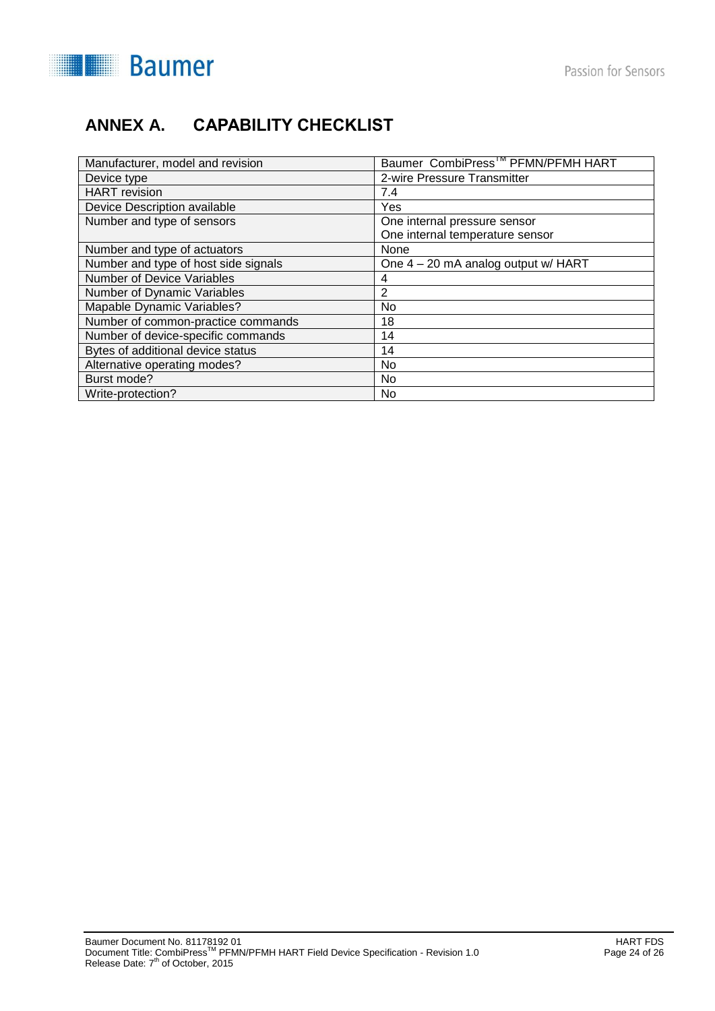

# **ANNEX A. CAPABILITY CHECKLIST**

| Manufacturer, model and revision     | Baumer CombiPress <sup>™</sup> PFMN/PFMH HART |
|--------------------------------------|-----------------------------------------------|
| Device type                          | 2-wire Pressure Transmitter                   |
| <b>HART</b> revision                 | 7.4                                           |
| Device Description available         | Yes                                           |
| Number and type of sensors           | One internal pressure sensor                  |
|                                      | One internal temperature sensor               |
| Number and type of actuators         | None                                          |
| Number and type of host side signals | One 4 – 20 mA analog output w/ HART           |
| <b>Number of Device Variables</b>    | 4                                             |
| Number of Dynamic Variables          | 2                                             |
| Mapable Dynamic Variables?           | N <sub>0</sub>                                |
| Number of common-practice commands   | 18                                            |
| Number of device-specific commands   | 14                                            |
| Bytes of additional device status    | 14                                            |
| Alternative operating modes?         | No.                                           |
| Burst mode?                          | No                                            |
| Write-protection?                    | No                                            |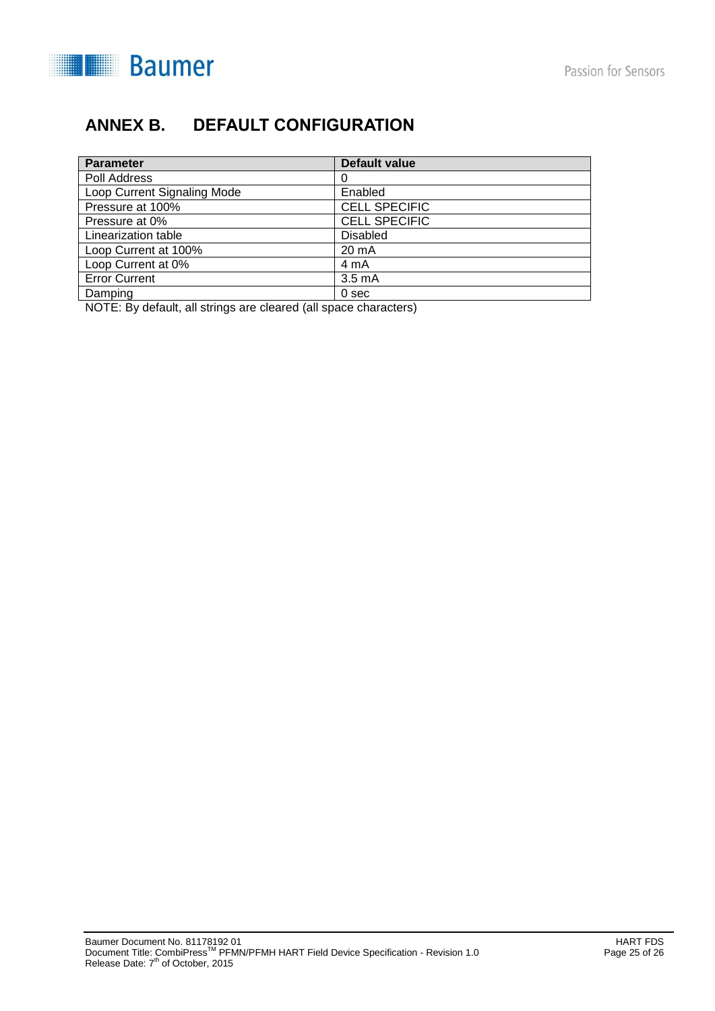

# **ANNEX B. DEFAULT CONFIGURATION**

| <b>Parameter</b>            | Default value        |
|-----------------------------|----------------------|
| Poll Address                | 0                    |
| Loop Current Signaling Mode | Enabled              |
| Pressure at 100%            | <b>CELL SPECIFIC</b> |
| Pressure at 0%              | <b>CELL SPECIFIC</b> |
| Linearization table         | <b>Disabled</b>      |
| Loop Current at 100%        | $20 \text{ mA}$      |
| Loop Current at 0%          | 4 mA                 |
| <b>Error Current</b>        | 3.5 <sub>m</sub> A   |
| Damping                     | 0 <sub>sec</sub>     |

NOTE: By default, all strings are cleared (all space characters)